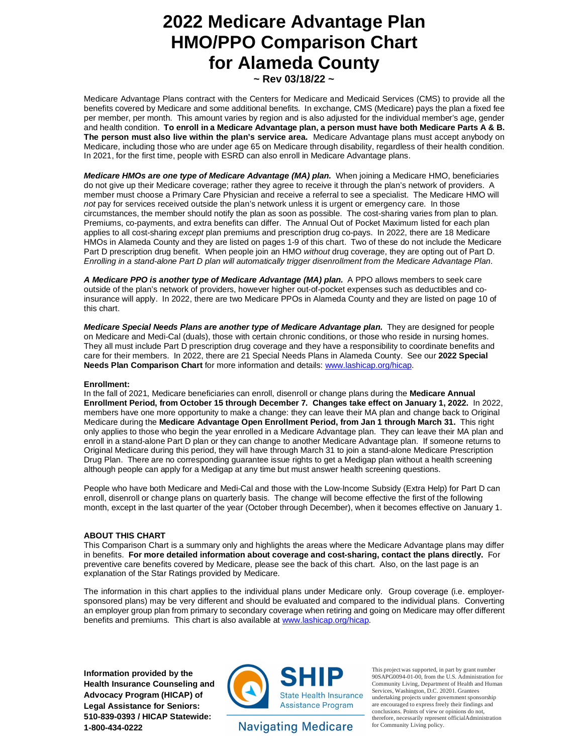# **2022 Medicare Advantage Plan HMO/PPO Comparison Chart for Alameda County**

**~ Rev 03/18/22 ~**

Medicare Advantage Plans contract with the Centers for Medicare and Medicaid Services (CMS) to provide all the benefits covered by Medicare and some additional benefits. In exchange, CMS (Medicare) pays the plan a fixed fee per member, per month. This amount varies by region and is also adjusted for the individual member's age, gender and health condition. **To enroll in a Medicare Advantage plan, a person must have both Medicare Parts A & B. The person must also live within the plan's service area.** Medicare Advantage plans must accept anybody on Medicare, including those who are under age 65 on Medicare through disability, regardless of their health condition. In 2021, for the first time, people with ESRD can also enroll in Medicare Advantage plans.

*Medicare HMOs are one type of Medicare Advantage (MA) plan.* When joining a Medicare HMO, beneficiaries do not give up their Medicare coverage; rather they agree to receive it through the plan's network of providers. A member must choose a Primary Care Physician and receive a referral to see a specialist. The Medicare HMO will *not* pay for services received outside the plan's network unless it is urgent or emergency care. In those circumstances, the member should notify the plan as soon as possible. The cost-sharing varies from plan to plan. Premiums, co-payments, and extra benefits can differ. The Annual Out of Pocket Maximum listed for each plan applies to all cost-sharing *except* plan premiums and prescription drug co-pays.In 2022, there are 18 Medicare HMOs in Alameda County and they are listed on pages 1-9 of this chart. Two of these do not include the Medicare Part D prescription drug benefit. When people join an HMO *without* drug coverage, they are opting out of Part D. *Enrolling in a stand-alone Part D plan will automatically trigger disenrollment from the Medicare Advantage Plan*.

*A Medicare PPO is another type of Medicare Advantage (MA) plan.* A PPO allows members to seek care outside of the plan's network of providers, however higher out-of-pocket expenses such as deductibles and coinsurance will apply. In 2022, there are two Medicare PPOs in Alameda County and they are listed on page 10 of this chart.

*Medicare Special Needs Plans are another type of Medicare Advantage plan.* They are designed for people on Medicare and Medi-Cal (duals), those with certain chronic conditions, or those who reside in nursing homes. They all must include Part D prescription drug coverage and they have a responsibility to coordinate benefits and care for their members. In 2022, there are 21 Special Needs Plans in Alameda County. See our **2022 Special Needs Plan Comparison Chart** for more information and details: [www.lashicap.org/hicap.](http://www.lashicap.org/hicap.)

### **Enrollment:**

In the fall of 2021, Medicare beneficiaries can enroll, disenroll or change plans during the **Medicare Annual Enrollment Period, from October 15 through December 7. Changes take effect on January 1, 2022.** In 2022, members have one more opportunity to make a change: they can leave their MA plan and change back to Original Medicare during the **Medicare Advantage Open Enrollment Period, from Jan 1 through March 31.** This right only applies to those who begin the year enrolled in a Medicare Advantage plan. They can leave their MA plan and enroll in a stand-alone Part D plan or they can change to another Medicare Advantage plan. If someone returns to Original Medicare during this period, they will have through March 31 to join a stand-alone Medicare Prescription Drug Plan. There are no corresponding guarantee issue rights to get a Medigap plan without a health screening although people can apply for a Medigap at any time but must answer health screening questions.

People who have both Medicare and Medi-Cal and those with the Low-Income Subsidy (Extra Help) for Part D can enroll, disenroll or change plans on quarterly basis. The change will become effective the first of the following month, except in the last quarter of the year (October through December), when it becomes effective on January 1.

### **ABOUT THIS CHART**

This Comparison Chart is a summary only and highlights the areas where the Medicare Advantage plans may differ in benefits. **For more detailed information about coverage and cost-sharing, contact the plans directly.** For preventive care benefits covered by Medicare, please see the back of this chart. Also, on the last page is an explanation of the Star Ratings provided by Medicare.

The information in this chart applies to the individual plans under Medicare only. Group coverage (i.e. employersponsored plans) may be very different and should be evaluated and compared to the individual plans. Converting an employer group plan from primary to secondary coverage when retiring and going on Medicare may offer different benefits and premiums. This chart is also available at [www.lashicap.org/hicap.](http://www.lashicap.org/hicap.)

**Information provided by the Health Insurance Counseling and Advocacy Program (HICAP) of Legal Assistance for Seniors: 510-839-0393 / HICAP Statewide: 1-800-434-0222**



## **Navigating Medicare**

This project was supported, in part by grant number 90SAPG0094-01-00, from the U.S. Administration for Community Living, Department of Health and Human Services, Washington, D.C. 20201. Grantees undertaking projects under government sponsorship are encouraged to express freely their findings and conclusions. Points of view or opinions do not, therefore, necessarily represent officialAdministration for Community Living policy.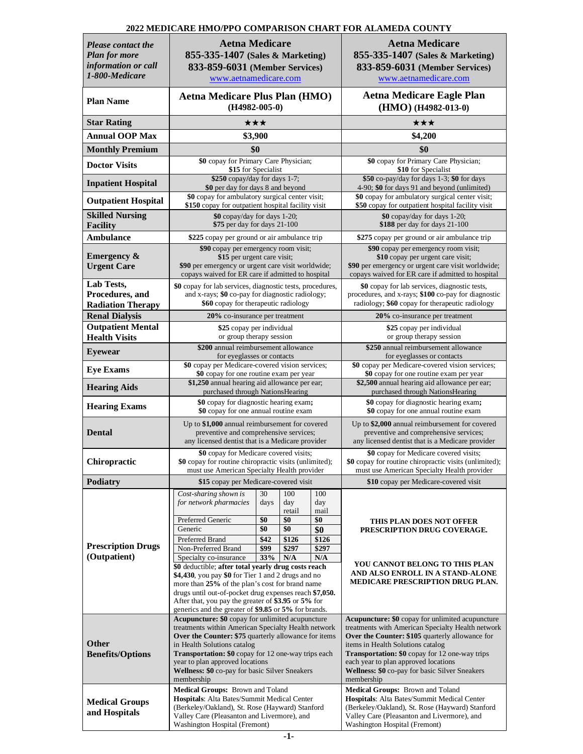| <b>Please contact the</b><br><b>Plan for more</b><br>information or call<br>1-800-Medicare | <b>Aetna Medicare</b><br>855-335-1407 (Sales & Marketing)<br>833-859-6031 (Member Services)<br>www.aetnamedicare.com                                                                                                                                                                                                                                            |                   |                             |                                                                    | <b>Aetna Medicare</b><br>855-335-1407 (Sales & Marketing)<br>833-859-6031 (Member Services)<br>www.aetnamedicare.com                                                                                                                                                                                                                                                  |  |  |
|--------------------------------------------------------------------------------------------|-----------------------------------------------------------------------------------------------------------------------------------------------------------------------------------------------------------------------------------------------------------------------------------------------------------------------------------------------------------------|-------------------|-----------------------------|--------------------------------------------------------------------|-----------------------------------------------------------------------------------------------------------------------------------------------------------------------------------------------------------------------------------------------------------------------------------------------------------------------------------------------------------------------|--|--|
| <b>Plan Name</b>                                                                           | <b>Aetna Medicare Plus Plan (HMO)</b><br>$(H4982-005-0)$                                                                                                                                                                                                                                                                                                        |                   |                             | <b>Aetna Medicare Eagle Plan</b><br>(HMO) (H4982-013-0)            |                                                                                                                                                                                                                                                                                                                                                                       |  |  |
| <b>Star Rating</b>                                                                         | ★★★                                                                                                                                                                                                                                                                                                                                                             |                   |                             |                                                                    | ★★★                                                                                                                                                                                                                                                                                                                                                                   |  |  |
| <b>Annual OOP Max</b>                                                                      | \$3,900                                                                                                                                                                                                                                                                                                                                                         |                   |                             |                                                                    | \$4,200                                                                                                                                                                                                                                                                                                                                                               |  |  |
| <b>Monthly Premium</b>                                                                     | \$0                                                                                                                                                                                                                                                                                                                                                             |                   |                             |                                                                    | \$0                                                                                                                                                                                                                                                                                                                                                                   |  |  |
| <b>Doctor Visits</b>                                                                       | \$0 copay for Primary Care Physician;<br>\$15 for Specialist                                                                                                                                                                                                                                                                                                    |                   |                             |                                                                    | \$0 copay for Primary Care Physician;<br>\$10 for Specialist                                                                                                                                                                                                                                                                                                          |  |  |
| <b>Inpatient Hospital</b>                                                                  | \$250 copay/day for days 1-7;<br>\$0 per day for days 8 and beyond                                                                                                                                                                                                                                                                                              |                   |                             |                                                                    | \$50 co-pay/day for days 1-3; \$0 for days<br>4-90; \$0 for days 91 and beyond (unlimited)                                                                                                                                                                                                                                                                            |  |  |
| <b>Outpatient Hospital</b>                                                                 | \$0 copay for ambulatory surgical center visit;<br>\$150 copay for outpatient hospital facility visit                                                                                                                                                                                                                                                           |                   |                             |                                                                    | \$0 copay for ambulatory surgical center visit;<br>\$50 copay for outpatient hospital facility visit                                                                                                                                                                                                                                                                  |  |  |
| <b>Skilled Nursing</b><br><b>Facility</b>                                                  | \$0 copay/day for days 1-20;<br>\$75 per day for days 21-100                                                                                                                                                                                                                                                                                                    |                   |                             |                                                                    | \$0 copay/day for days 1-20;<br>\$188 per day for days 21-100                                                                                                                                                                                                                                                                                                         |  |  |
| <b>Ambulance</b>                                                                           | \$225 copay per ground or air ambulance trip                                                                                                                                                                                                                                                                                                                    |                   |                             |                                                                    | \$275 copay per ground or air ambulance trip                                                                                                                                                                                                                                                                                                                          |  |  |
| <b>Emergency &amp;</b><br><b>Urgent Care</b>                                               | \$90 copay per emergency room visit;<br>\$15 per urgent care visit;<br>\$90 per emergency or urgent care visit worldwide;<br>copays waived for ER care if admitted to hospital                                                                                                                                                                                  |                   |                             |                                                                    | \$90 copay per emergency room visit;<br>\$10 copay per urgent care visit;<br>\$90 per emergency or urgent care visit worldwide;<br>copays waived for ER care if admitted to hospital                                                                                                                                                                                  |  |  |
| Lab Tests,<br>Procedures, and<br><b>Radiation Therapy</b>                                  | \$0 copay for lab services, diagnostic tests, procedures,<br>and x-rays; \$0 co-pay for diagnostic radiology;<br>\$60 copay for therapeutic radiology                                                                                                                                                                                                           |                   |                             |                                                                    | \$0 copay for lab services, diagnostic tests,<br>procedures, and x-rays; \$100 co-pay for diagnostic<br>radiology; \$60 copay for therapeutic radiology                                                                                                                                                                                                               |  |  |
| <b>Renal Dialysis</b>                                                                      | 20% co-insurance per treatment                                                                                                                                                                                                                                                                                                                                  |                   |                             |                                                                    | 20% co-insurance per treatment                                                                                                                                                                                                                                                                                                                                        |  |  |
| <b>Outpatient Mental</b><br><b>Health Visits</b>                                           | \$25 copay per individual<br>or group therapy session                                                                                                                                                                                                                                                                                                           |                   |                             | \$25 copay per individual<br>or group therapy session              |                                                                                                                                                                                                                                                                                                                                                                       |  |  |
| <b>Eyewear</b>                                                                             | \$200 annual reimbursement allowance<br>for eyeglasses or contacts                                                                                                                                                                                                                                                                                              |                   |                             | \$250 annual reimbursement allowance<br>for eyeglasses or contacts |                                                                                                                                                                                                                                                                                                                                                                       |  |  |
| <b>Eye Exams</b>                                                                           | \$0 copay per Medicare-covered vision services;<br>\$0 copay for one routine exam per year                                                                                                                                                                                                                                                                      |                   |                             |                                                                    | \$0 copay per Medicare-covered vision services;<br>\$0 copay for one routine exam per year                                                                                                                                                                                                                                                                            |  |  |
| <b>Hearing Aids</b>                                                                        | \$1,250 annual hearing aid allowance per ear;<br>purchased through NationsHearing                                                                                                                                                                                                                                                                               |                   |                             |                                                                    | \$2,500 annual hearing aid allowance per ear;<br>purchased through NationsHearing                                                                                                                                                                                                                                                                                     |  |  |
| <b>Hearing Exams</b>                                                                       | \$0 copay for diagnostic hearing exam;<br>\$0 copay for one annual routine exam                                                                                                                                                                                                                                                                                 |                   |                             |                                                                    | \$0 copay for diagnostic hearing exam;<br>\$0 copay for one annual routine exam                                                                                                                                                                                                                                                                                       |  |  |
| <b>Dental</b>                                                                              | Up to \$1,000 annual reimbursement for covered<br>preventive and comprehensive services;<br>any licensed dentist that is a Medicare provider                                                                                                                                                                                                                    |                   |                             |                                                                    | Up to \$2,000 annual reimbursement for covered<br>preventive and comprehensive services;<br>any licensed dentist that is a Medicare provider                                                                                                                                                                                                                          |  |  |
| Chiropractic                                                                               | \$0 copay for Medicare covered visits;<br>\$0 copay for routine chiropractic visits (unlimited);<br>must use American Specialty Health provider                                                                                                                                                                                                                 |                   |                             |                                                                    | \$0 copay for Medicare covered visits;<br>\$0 copay for routine chiropractic visits (unlimited);<br>must use American Specialty Health provider                                                                                                                                                                                                                       |  |  |
| <b>Podiatry</b>                                                                            | \$15 copay per Medicare-covered visit                                                                                                                                                                                                                                                                                                                           |                   |                             |                                                                    | \$10 copay per Medicare-covered visit                                                                                                                                                                                                                                                                                                                                 |  |  |
|                                                                                            | Cost-sharing shown is<br>for network pharmacies<br>Preferred Generic                                                                                                                                                                                                                                                                                            | 30<br>days<br>\$0 | 100<br>day<br>retail<br>\$0 | 100<br>day<br>mail<br>\$0                                          | THIS PLAN DOES NOT OFFER                                                                                                                                                                                                                                                                                                                                              |  |  |
| <b>Prescription Drugs</b>                                                                  | Generic<br>Preferred Brand<br>Non-Preferred Brand                                                                                                                                                                                                                                                                                                               | \$0<br>\$42       | \$0<br>\$126                | \$0<br>\$126                                                       | PRESCRIPTION DRUG COVERAGE.                                                                                                                                                                                                                                                                                                                                           |  |  |
| (Outpatient)                                                                               | Specialty co-insurance<br>\$0 deductible; after total yearly drug costs reach<br>\$4,430, you pay \$0 for Tier 1 and 2 drugs and no<br>more than 25% of the plan's cost for brand name<br>drugs until out-of-pocket drug expenses reach \$7,050.<br>After that, you pay the greater of \$3.95 or 5% for<br>generics and the greater of \$9.85 or 5% for brands. | \$99<br>33%       | \$297<br>N/A                | \$297<br>N/A                                                       | YOU CANNOT BELONG TO THIS PLAN<br>AND ALSO ENROLL IN A STAND-ALONE<br><b>MEDICARE PRESCRIPTION DRUG PLAN.</b>                                                                                                                                                                                                                                                         |  |  |
| Other<br><b>Benefits/Options</b>                                                           | <b>Acupuncture: \$0</b> copay for unlimited acupuncture<br>treatments within American Specialty Health network<br>Over the Counter: \$75 quarterly allowance for items<br>in Health Solutions catalog<br>Transportation: \$0 copay for 12 one-way trips each<br>year to plan approved locations<br>Wellness: \$0 co-pay for basic Silver Sneakers<br>membership |                   |                             |                                                                    | <b>Acupuncture: \$0</b> copay for unlimited acupuncture<br>treatments with American Specialty Health network<br>Over the Counter: \$105 quarterly allowance for<br>items in Health Solutions catalog<br><b>Transportation: \$0</b> copay for 12 one-way trips<br>each year to plan approved locations<br>Wellness: \$0 co-pay for basic Silver Sneakers<br>membership |  |  |
| <b>Medical Groups</b><br>and Hospitals                                                     | Medical Groups: Brown and Toland<br>Hospitals: Alta Bates/Summit Medical Center<br>(Berkeley/Oakland), St. Rose (Hayward) Stanford<br>Valley Care (Pleasanton and Livermore), and<br>Washington Hospital (Fremont)                                                                                                                                              |                   |                             |                                                                    | Medical Groups: Brown and Toland<br>Hospitals: Alta Bates/Summit Medical Center<br>(Berkeley/Oakland), St. Rose (Hayward) Stanford<br>Valley Care (Pleasanton and Livermore), and<br>Washington Hospital (Fremont)                                                                                                                                                    |  |  |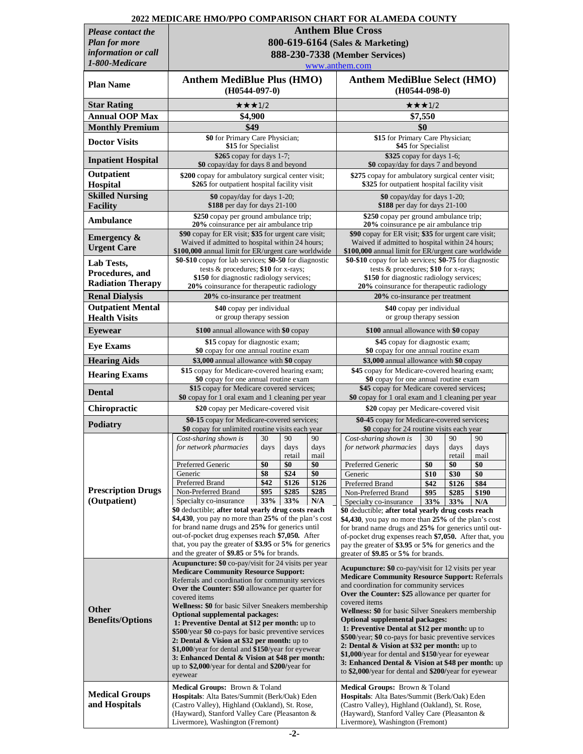|                                              | 2022 MEDICARE HMO/PPO COMPARISON CHART FOR ALAMEDA COUNTY                                                      |             |                                                      |                                                                                        |                                                                                                                |                                                                                       |               |             |  |
|----------------------------------------------|----------------------------------------------------------------------------------------------------------------|-------------|------------------------------------------------------|----------------------------------------------------------------------------------------|----------------------------------------------------------------------------------------------------------------|---------------------------------------------------------------------------------------|---------------|-------------|--|
| <b>Please contact the</b>                    | <b>Anthem Blue Cross</b>                                                                                       |             |                                                      |                                                                                        |                                                                                                                |                                                                                       |               |             |  |
| <b>Plan for more</b>                         |                                                                                                                |             |                                                      |                                                                                        | 800-619-6164 (Sales & Marketing)                                                                               |                                                                                       |               |             |  |
| information or call                          |                                                                                                                |             |                                                      |                                                                                        | 888-230-7338 (Member Services)                                                                                 |                                                                                       |               |             |  |
| 1-800-Medicare                               |                                                                                                                |             |                                                      |                                                                                        | www.anthem.com                                                                                                 |                                                                                       |               |             |  |
| <b>Plan Name</b>                             | <b>Anthem MediBlue Plus (HMO)</b><br>$(H0544-097-0)$                                                           |             |                                                      |                                                                                        | <b>Anthem MediBlue Select (HMO)</b><br>$(H0544-098-0)$                                                         |                                                                                       |               |             |  |
| <b>Star Rating</b>                           | $\star\star\star1/2$                                                                                           |             |                                                      |                                                                                        |                                                                                                                | ★★★1/2                                                                                |               |             |  |
| <b>Annual OOP Max</b>                        | \$4,900                                                                                                        |             |                                                      |                                                                                        |                                                                                                                | \$7,550                                                                               |               |             |  |
| <b>Monthly Premium</b>                       | \$49                                                                                                           |             |                                                      |                                                                                        |                                                                                                                | \$0                                                                                   |               |             |  |
| <b>Doctor Visits</b>                         | \$0 for Primary Care Physician;<br>\$15 for Specialist<br>$$265$ copay for days 1-7;                           |             |                                                      |                                                                                        |                                                                                                                | \$15 for Primary Care Physician;<br>\$45 for Specialist<br>$$325$ copay for days 1-6; |               |             |  |
| <b>Inpatient Hospital</b>                    | \$0 copay/day for days 8 and beyond                                                                            |             |                                                      |                                                                                        | \$0 copay/day for days 7 and beyond                                                                            |                                                                                       |               |             |  |
| Outpatient<br>Hospital                       | \$200 copay for ambulatory surgical center visit;<br>\$265 for outpatient hospital facility visit              |             |                                                      |                                                                                        | \$275 copay for ambulatory surgical center visit;<br>\$325 for outpatient hospital facility visit              |                                                                                       |               |             |  |
| <b>Skilled Nursing</b><br><b>Facility</b>    | $$0$ copay/day for days 1-20;<br>\$188 per day for days 21-100                                                 |             |                                                      |                                                                                        | $$0$ copay/day for days 1-20;<br>\$188 per day for days 21-100                                                 |                                                                                       |               |             |  |
| Ambulance                                    | \$250 copay per ground ambulance trip;<br>20% coinsurance per air ambulance trip                               |             |                                                      |                                                                                        | \$250 copay per ground ambulance trip;<br>20% coinsurance pe air ambulance trip                                |                                                                                       |               |             |  |
| <b>Emergency &amp;</b><br><b>Urgent Care</b> | \$90 copay for ER visit; \$35 for urgent care visit;<br>Waived if admitted to hospital within 24 hours;        |             |                                                      |                                                                                        | \$90 copay for ER visit; \$35 for urgent care visit;<br>Waived if admitted to hospital within 24 hours;        |                                                                                       |               |             |  |
|                                              | \$100,000 annual limit for ER/urgent care worldwide<br>\$0-\$10 copay for lab services; \$0-50 for diagnostic  |             |                                                      |                                                                                        | \$100,000 annual limit for ER/urgent care worldwide<br>\$0-\$10 copay for lab services; \$0-75 for diagnostic  |                                                                                       |               |             |  |
| Lab Tests.<br>Procedures, and                | tests $&$ procedures; \$10 for x-rays;                                                                         |             |                                                      |                                                                                        | tests $&$ procedures; \$10 for x-rays;                                                                         |                                                                                       |               |             |  |
| <b>Radiation Therapy</b>                     | \$150 for diagnostic radiology services;                                                                       |             |                                                      |                                                                                        | \$150 for diagnostic radiology services;                                                                       |                                                                                       |               |             |  |
| <b>Renal Dialysis</b>                        | 20% coinsurance for therapeutic radiology<br>20% co-insurance per treatment                                    |             |                                                      |                                                                                        | 20% coinsurance for therapeutic radiology<br>20% co-insurance per treatment                                    |                                                                                       |               |             |  |
| <b>Outpatient Mental</b>                     | \$40 copay per individual                                                                                      |             |                                                      |                                                                                        | \$40 copay per individual                                                                                      |                                                                                       |               |             |  |
| <b>Health Visits</b>                         | or group therapy session                                                                                       |             |                                                      |                                                                                        | or group therapy session                                                                                       |                                                                                       |               |             |  |
| <b>Eyewear</b>                               | \$100 annual allowance with \$0 copay                                                                          |             |                                                      |                                                                                        | \$100 annual allowance with \$0 copay                                                                          |                                                                                       |               |             |  |
| <b>Eye Exams</b>                             | \$15 copay for diagnostic exam;<br>\$0 copay for one annual routine exam                                       |             |                                                      | \$45 copay for diagnostic exam;<br>\$0 copay for one annual routine exam               |                                                                                                                |                                                                                       |               |             |  |
| <b>Hearing Aids</b>                          | \$3,000 annual allowance with \$0 copay                                                                        |             |                                                      | \$3,000 annual allowance with \$0 copay                                                |                                                                                                                |                                                                                       |               |             |  |
| <b>Hearing Exams</b>                         | \$15 copay for Medicare-covered hearing exam;                                                                  |             |                                                      | \$45 copay for Medicare-covered hearing exam;<br>\$0 copay for one annual routine exam |                                                                                                                |                                                                                       |               |             |  |
| <b>Dental</b>                                | \$0 copay for one annual routine exam<br>\$15 copay for Medicare covered services;                             |             |                                                      | \$45 copay for Medicare covered services;                                              |                                                                                                                |                                                                                       |               |             |  |
|                                              | \$0 copay for 1 oral exam and 1 cleaning per year                                                              |             |                                                      |                                                                                        | \$0 copay for 1 oral exam and 1 cleaning per year                                                              |                                                                                       |               |             |  |
| Chiropractic                                 | \$20 copay per Medicare-covered visit<br>\$0-15 copay for Medicare-covered services;                           |             |                                                      |                                                                                        | \$20 copay per Medicare-covered visit<br>\$0-45 copay for Medicare-covered services;                           |                                                                                       |               |             |  |
| <b>Podiatry</b>                              | \$0 copay for unlimited routine visits each year                                                               |             |                                                      |                                                                                        | \$0 copay for 24 routine visits each year                                                                      |                                                                                       |               |             |  |
|                                              | Cost-sharing shown is 30 90 90<br>for network pharmacies                                                       | days        | days                                                 | days                                                                                   | Cost-sharing shown is 30 90 90<br>for network pharmacies                                                       | days                                                                                  | days          | days        |  |
|                                              |                                                                                                                |             | retail                                               | mail                                                                                   |                                                                                                                |                                                                                       | retail        | mail        |  |
|                                              | Preferred Generic                                                                                              | \$0         | \$0                                                  | \$0                                                                                    | Preferred Generic                                                                                              | \$0                                                                                   | \$0           | \$0         |  |
|                                              | Generic<br>Preferred Brand                                                                                     | \$8<br>\$42 | \$24<br>\$126                                        | \$0<br>\$126                                                                           | Generic<br>Preferred Brand                                                                                     | \$10<br>\$42                                                                          | \$30<br>\$126 | \$0<br>\$84 |  |
| <b>Prescription Drugs</b>                    | Non-Preferred Brand                                                                                            | \$95        | \$285                                                | \$285                                                                                  | Non-Preferred Brand                                                                                            | \$95                                                                                  | \$285         | \$190       |  |
| (Outpatient)                                 | Specialty co-insurance                                                                                         | 33%         | 33%                                                  | N/A                                                                                    | Specialty co-insurance                                                                                         | 33%                                                                                   | 33%           | N/A         |  |
|                                              | \$0 deductible; after total yearly drug costs reach<br>\$4,430, you pay no more than $25\%$ of the plan's cost |             |                                                      |                                                                                        | \$0 deductible; after total yearly drug costs reach<br>\$4,430, you pay no more than 25% of the plan's cost    |                                                                                       |               |             |  |
|                                              | for brand name drugs and 25% for generics until                                                                |             | for brand name drugs and 25% for generics until out- |                                                                                        |                                                                                                                |                                                                                       |               |             |  |
|                                              | out-of-pocket drug expenses reach \$7,050. After<br>that, you pay the greater of \$3.95 or 5% for generics     |             |                                                      |                                                                                        | of-pocket drug expenses reach \$7,050. After that, you<br>pay the greater of \$3.95 or 5% for generics and the |                                                                                       |               |             |  |
|                                              | and the greater of \$9.85 or 5% for brands.                                                                    |             |                                                      |                                                                                        | greater of \$9.85 or 5% for brands.                                                                            |                                                                                       |               |             |  |
|                                              | <b>Acupuncture: \$0</b> co-pay/visit for 24 visits per year<br><b>Medicare Community Resource Support:</b>     |             |                                                      |                                                                                        | <b>Acupuncture: \$0</b> co-pay/visit for 12 visits per year                                                    |                                                                                       |               |             |  |
|                                              | Referrals and coordination for community services                                                              |             |                                                      |                                                                                        | <b>Medicare Community Resource Support: Referrals</b>                                                          |                                                                                       |               |             |  |
|                                              | <b>Over the Counter: \$50 allowance per quarter for</b>                                                        |             |                                                      |                                                                                        | and coordination for community services<br>Over the Counter: \$25 allowance per quarter for                    |                                                                                       |               |             |  |
| Other                                        | covered items<br><b>Wellness: \$0</b> for basic Silver Sneakers membership                                     |             |                                                      |                                                                                        | covered items                                                                                                  |                                                                                       |               |             |  |
| <b>Benefits/Options</b>                      | <b>Optional supplemental packages:</b>                                                                         |             |                                                      |                                                                                        | <b>Wellness: \$0</b> for basic Silver Sneakers membership<br><b>Optional supplemental packages:</b>            |                                                                                       |               |             |  |
|                                              | 1: Preventive Dental at \$12 per month: up to<br>\$500/year \$0 co-pays for basic preventive services          |             |                                                      |                                                                                        | 1: Preventive Dental at \$12 per month: up to                                                                  |                                                                                       |               |             |  |
|                                              | 2: Dental & Vision at \$32 per month: up to                                                                    |             |                                                      |                                                                                        | \$500/year; \$0 co-pays for basic preventive services<br>2: Dental $\&$ Vision at \$32 per month: up to        |                                                                                       |               |             |  |
|                                              | \$1,000/year for dental and \$150/year for eyewear<br>3: Enhanced Dental & Vision at \$48 per month:           |             |                                                      |                                                                                        | \$1,000/year for dental and \$150/year for eyewear                                                             |                                                                                       |               |             |  |
|                                              | up to \$2,000/year for dental and \$200/year for                                                               |             |                                                      |                                                                                        | 3: Enhanced Dental & Vision at \$48 per month: up<br>to \$2,000/year for dental and \$200/year for eyewear     |                                                                                       |               |             |  |
|                                              | eyewear                                                                                                        |             |                                                      |                                                                                        |                                                                                                                |                                                                                       |               |             |  |
| <b>Medical Groups</b>                        | Medical Groups: Brown & Toland<br>Hospitals: Alta Bates/Summit (Berk/Oak) Eden                                 |             |                                                      |                                                                                        | Medical Groups: Brown & Toland<br>Hospitals: Alta Bates/Summit (Berk/Oak) Eden                                 |                                                                                       |               |             |  |
| and Hospitals                                | (Castro Valley), Highland (Oakland), St. Rose,                                                                 |             |                                                      |                                                                                        | (Castro Valley), Highland (Oakland), St. Rose,                                                                 |                                                                                       |               |             |  |
|                                              | (Hayward), Stanford Valley Care (Pleasanton &<br>Livermore), Washington (Fremont)                              |             |                                                      |                                                                                        | (Hayward), Stanford Valley Care (Pleasanton &<br>Livermore), Washington (Fremont)                              |                                                                                       |               |             |  |
|                                              |                                                                                                                |             |                                                      |                                                                                        |                                                                                                                |                                                                                       |               |             |  |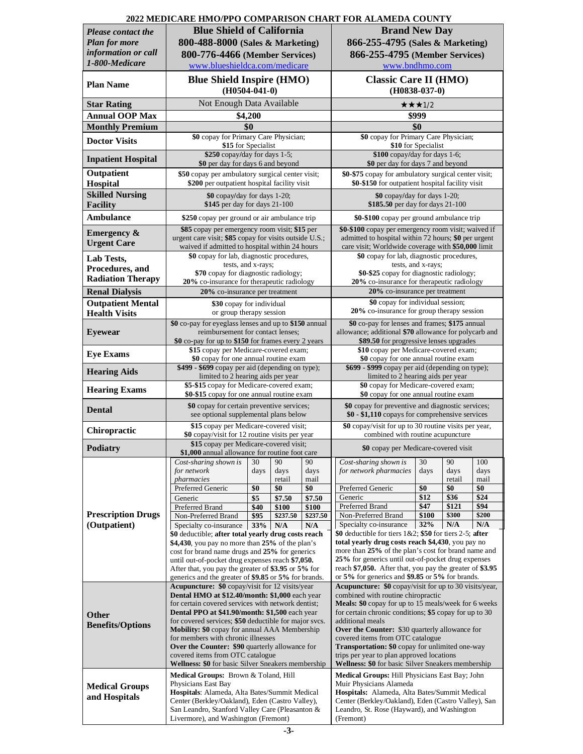| <b>Please contact the</b><br><b>Plan for more</b><br>information or call<br>1-800-Medicare | CARE HIJO/I I O COMI ARBON CHART FOR ALAMEDA COUNT I<br><b>Blue Shield of California</b><br>800-488-8000 (Sales & Marketing)<br>800-776-4466 (Member Services)<br>www.blueshieldca.com/medicare |             |               |                                                                                                      | <b>Brand New Day</b><br>866-255-4795 (Sales & Marketing)<br>866-255-4795 (Member Services)<br>www.bndhmo.com                                                      |                    |             |             |
|--------------------------------------------------------------------------------------------|-------------------------------------------------------------------------------------------------------------------------------------------------------------------------------------------------|-------------|---------------|------------------------------------------------------------------------------------------------------|-------------------------------------------------------------------------------------------------------------------------------------------------------------------|--------------------|-------------|-------------|
| <b>Plan Name</b>                                                                           | <b>Blue Shield Inspire (HMO)</b><br>$(H0504-041-0)$                                                                                                                                             |             |               |                                                                                                      | <b>Classic Care II (HMO)</b><br>$(H0838-037-0)$                                                                                                                   |                    |             |             |
| <b>Star Rating</b>                                                                         | Not Enough Data Available                                                                                                                                                                       |             |               |                                                                                                      |                                                                                                                                                                   | ★★★1/2             |             |             |
| <b>Annual OOP Max</b>                                                                      |                                                                                                                                                                                                 | \$4,200     |               |                                                                                                      |                                                                                                                                                                   | \$999<br>\$0       |             |             |
| <b>Monthly Premium</b>                                                                     | \$0<br>\$0 copay for Primary Care Physician;                                                                                                                                                    |             |               | \$0 copay for Primary Care Physician;                                                                |                                                                                                                                                                   |                    |             |             |
| <b>Doctor Visits</b>                                                                       | \$15 for Specialist<br>\$250 copay/day for days 1-5;                                                                                                                                            |             |               |                                                                                                      | \$10 for Specialist<br>\$100 copay/day for days 1-6;                                                                                                              |                    |             |             |
| <b>Inpatient Hospital</b><br>Outpatient                                                    | \$0 per day for days 6 and beyond                                                                                                                                                               |             |               |                                                                                                      | \$0 per day for days 7 and beyond<br>\$0-\$75 copay for ambulatory surgical center visit;                                                                         |                    |             |             |
| Hospital                                                                                   | \$50 copay per ambulatory surgical center visit;<br>\$200 per outpatient hospital facility visit                                                                                                |             |               |                                                                                                      | \$0-\$150 for outpatient hospital facility visit                                                                                                                  |                    |             |             |
| <b>Skilled Nursing</b><br><b>Facility</b>                                                  | $$0$ copay/day for days 1-20;<br>\$145 per day for days 21-100                                                                                                                                  |             |               |                                                                                                      | $$0$ copay/day for days 1-20;<br>\$185.50 per day for days 21-100                                                                                                 |                    |             |             |
| <b>Ambulance</b>                                                                           | \$250 copay per ground or air ambulance trip                                                                                                                                                    |             |               |                                                                                                      | \$0-\$100 copay per ground ambulance trip                                                                                                                         |                    |             |             |
| <b>Emergency &amp;</b><br><b>Urgent Care</b>                                               | \$85 copay per emergency room visit; \$15 per<br>urgent care visit; \$85 copay for visits outside U.S.;<br>waived if admitted to hospital within 24 hours                                       |             |               |                                                                                                      | \$0-\$100 copay per emergency room visit; waived if<br>admitted to hospital within 72 hours; \$0 per urgent<br>care visit; Worldwide coverage with \$50,000 limit |                    |             |             |
| Lab Tests,                                                                                 | \$0 copay for lab, diagnostic procedures,                                                                                                                                                       |             |               |                                                                                                      | \$0 copay for lab, diagnostic procedures,                                                                                                                         |                    |             |             |
| Procedures, and                                                                            | tests, and x-rays;<br>\$70 copay for diagnostic radiology;                                                                                                                                      |             |               |                                                                                                      | \$0-\$25 copay for diagnostic radiology;                                                                                                                          | tests, and x-rays; |             |             |
| <b>Radiation Therapy</b>                                                                   | 20% co-insurance for therapeutic radiology                                                                                                                                                      |             |               |                                                                                                      | 20% co-insurance for therapeutic radiology                                                                                                                        |                    |             |             |
| <b>Renal Dialysis</b><br><b>Outpatient Mental</b>                                          | 20% co-insurance per treatment<br>\$30 copay for individual                                                                                                                                     |             |               |                                                                                                      | 20% co-insurance per treatment<br>\$0 copay for individual session;                                                                                               |                    |             |             |
| <b>Health Visits</b>                                                                       | or group therapy session                                                                                                                                                                        |             |               |                                                                                                      | 20% co-insurance for group therapy session                                                                                                                        |                    |             |             |
| <b>Eyewear</b>                                                                             | \$0 co-pay for eyeglass lenses and up to \$150 annual<br>reimbursement for contact lenses;<br>\$0 co-pay for up to \$150 for frames every 2 years                                               |             |               |                                                                                                      | \$0 co-pay for lenses and frames; \$175 annual<br>allowance; additional \$70 allowance for polycarb and<br>\$89.50 for progressive lenses upgrades                |                    |             |             |
| <b>Eye Exams</b>                                                                           | \$15 copay per Medicare-covered exam;<br>\$0 copay for one annual routine exam                                                                                                                  |             |               | \$10 copay per Medicare-covered exam;<br>\$0 copay for one annual routine exam                       |                                                                                                                                                                   |                    |             |             |
| <b>Hearing Aids</b>                                                                        | \$499 - \$699 copay per aid (depending on type);<br>limited to 2 hearing aids per year                                                                                                          |             |               | \$699 - \$999 copay per aid (depending on type);<br>limited to 2 hearing aids per year               |                                                                                                                                                                   |                    |             |             |
| <b>Hearing Exams</b>                                                                       | \$5-\$15 copay for Medicare-covered exam;<br>\$0-\$15 copay for one annual routine exam                                                                                                         |             |               | \$0 copay for Medicare-covered exam;<br>\$0 copay for one annual routine exam                        |                                                                                                                                                                   |                    |             |             |
| <b>Dental</b>                                                                              | \$0 copay for certain preventive services;<br>see optional supplemental plans below                                                                                                             |             |               | \$0 copay for preventive and diagnostic services;<br>\$0 - \$1,110 copays for comprehensive services |                                                                                                                                                                   |                    |             |             |
| Chiropractic                                                                               | \$15 copay per Medicare-covered visit;<br>\$0 copay/visit for 12 routine visits per year                                                                                                        |             |               |                                                                                                      | \$0 copay/visit for up to 30 routine visits per year,<br>combined with routine acupuncture                                                                        |                    |             |             |
| Podiatry                                                                                   | \$15 copay per Medicare-covered visit;<br>\$1,000 annual allowance for routine foot care                                                                                                        |             |               |                                                                                                      | \$0 copay per Medicare-covered visit                                                                                                                              |                    |             |             |
|                                                                                            | Cost-sharing shown is<br>for network                                                                                                                                                            | 30<br>days  | 90<br>days    | 90<br>days                                                                                           | Cost-sharing shown is<br>for network pharmacies                                                                                                                   | 30<br>days         | 90<br>days  | 100<br>days |
|                                                                                            | pharmacies                                                                                                                                                                                      |             | retail        | mail                                                                                                 |                                                                                                                                                                   |                    | retail      | mail        |
|                                                                                            | Preferred Generic                                                                                                                                                                               | \$0         | \$0<br>\$7.50 | \$0                                                                                                  | Preferred Generic<br>Generic                                                                                                                                      | \$0<br>\$12        | \$0<br>\$36 | \$0<br>\$24 |
|                                                                                            | Generic<br>Preferred Brand                                                                                                                                                                      | \$5<br>\$40 | \$100         | \$7.50<br>\$100                                                                                      | Preferred Brand                                                                                                                                                   | \$47               | \$121       | \$94        |
| <b>Prescription Drugs</b>                                                                  | Non-Preferred Brand                                                                                                                                                                             | \$95        | \$237.50      | \$237.50                                                                                             | Non-Preferred Brand                                                                                                                                               | \$100              | \$300       | \$200       |
| (Outpatient)                                                                               | Specialty co-insurance<br>\$0 deductible; after total yearly drug costs reach                                                                                                                   | 33%         | N/A           | N/A                                                                                                  | Specialty co-insurance<br>\$0 deductible for tiers $1&2$ ; \$50 for tiers 2-5; after                                                                              | 32%                | N/A         | N/A         |
|                                                                                            | \$4,430, you pay no more than $25%$ of the plan's                                                                                                                                               |             |               |                                                                                                      | total yearly drug costs reach \$4,430, you pay no                                                                                                                 |                    |             |             |
|                                                                                            | cost for brand name drugs and 25% for generics                                                                                                                                                  |             |               |                                                                                                      | more than 25% of the plan's cost for brand name and<br>25% for generics until out-of-pocket drug expenses                                                         |                    |             |             |
|                                                                                            | until out-of-pocket drug expenses reach \$7,050.<br>After that, you pay the greater of \$3.95 or 5% for                                                                                         |             |               |                                                                                                      | reach \$7,050. After that, you pay the greater of \$3.95                                                                                                          |                    |             |             |
|                                                                                            | generics and the greater of \$9.85 or 5% for brands.                                                                                                                                            |             |               |                                                                                                      | or 5% for generics and \$9.85 or 5% for brands.                                                                                                                   |                    |             |             |
|                                                                                            | Acupuncture: \$0 copay/visit for 12 visits/year<br>Dental HMO at \$12.40/month: \$1,000 each year                                                                                               |             |               |                                                                                                      | <b>Acupuncture:</b> \$0 copay/visit for up to 30 visits/year,<br>combined with routine chiropractic                                                               |                    |             |             |
|                                                                                            | for certain covered services with network dentist;                                                                                                                                              |             |               |                                                                                                      | Meals: \$0 copay for up to 15 meals/week for 6 weeks                                                                                                              |                    |             |             |
| Other                                                                                      | Dental PPO at \$41.90/month: \$1,500 each year                                                                                                                                                  |             |               |                                                                                                      | for certain chronic conditions; \$5 copay for up to 30<br>additional meals                                                                                        |                    |             |             |
| <b>Benefits/Options</b>                                                                    | for covered services; \$50 deductible for major svcs.<br><b>Mobility: \$0</b> copay for annual AAA Membership                                                                                   |             |               |                                                                                                      | Over the Counter: \$30 quarterly allowance for                                                                                                                    |                    |             |             |
|                                                                                            | for members with chronic illnesses<br>Over the Counter: \$90 quarterly allowance for                                                                                                            |             |               |                                                                                                      | covered items from OTC catalogue<br>Transportation: \$0 copay for unlimited one-way                                                                               |                    |             |             |
|                                                                                            | covered items from OTC catalogue                                                                                                                                                                |             |               |                                                                                                      | trips per year to plan approved locations                                                                                                                         |                    |             |             |
|                                                                                            | <b>Wellness: \$0</b> for basic Silver Sneakers membership<br>Medical Groups: Brown & Toland, Hill                                                                                               |             |               |                                                                                                      | Wellness: \$0 for basic Silver Sneakers membership<br>Medical Groups: Hill Physicians East Bay; John                                                              |                    |             |             |
| <b>Medical Groups</b>                                                                      | Physicians East Bay                                                                                                                                                                             |             |               |                                                                                                      | Muir Physicians Alameda                                                                                                                                           |                    |             |             |
| and Hospitals                                                                              | Hospitals: Alameda, Alta Bates/Summit Medical<br>Center (Berkley/Oakland), Eden (Castro Valley),                                                                                                |             |               |                                                                                                      | Hospitals: Alameda, Alta Bates/Summit Medical<br>Center (Berkley/Oakland), Eden (Castro Valley), San                                                              |                    |             |             |
|                                                                                            | San Leandro, Stanford Valley Care (Pleasanton &                                                                                                                                                 |             |               |                                                                                                      | Leandro, St. Rose (Hayward), and Washington                                                                                                                       |                    |             |             |
|                                                                                            | Livermore), and Washington (Fremont)                                                                                                                                                            |             |               |                                                                                                      | (Fremont)                                                                                                                                                         |                    |             |             |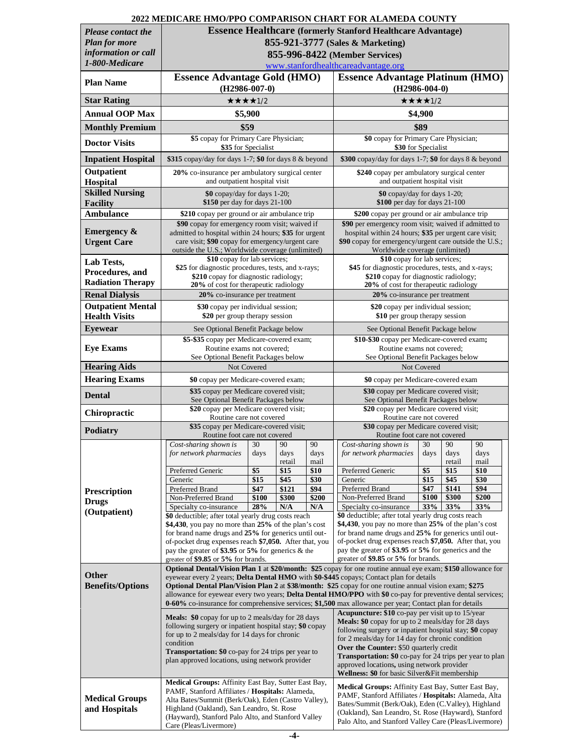| <b>Please contact the</b>                         | <b>Essence Healthcare (formerly Stanford Healthcare Advantage)</b>                                              |              |               |                                                                          |                                                                                                                                                                                                                               |              |               |              |  |  |
|---------------------------------------------------|-----------------------------------------------------------------------------------------------------------------|--------------|---------------|--------------------------------------------------------------------------|-------------------------------------------------------------------------------------------------------------------------------------------------------------------------------------------------------------------------------|--------------|---------------|--------------|--|--|
| <b>Plan for more</b>                              | 855-921-3777 (Sales & Marketing)                                                                                |              |               |                                                                          |                                                                                                                                                                                                                               |              |               |              |  |  |
| information or call<br>1-800-Medicare             |                                                                                                                 |              |               |                                                                          | 855-996-8422 (Member Services)                                                                                                                                                                                                |              |               |              |  |  |
|                                                   |                                                                                                                 |              |               |                                                                          | www.stanfordhealthcareadvantage.org                                                                                                                                                                                           |              |               |              |  |  |
| <b>Plan Name</b>                                  | <b>Essence Advantage Gold (HMO)</b><br>$(H2986-007-0)$                                                          |              |               |                                                                          | <b>Essence Advantage Platinum (HMO)</b><br>$(H2986-004-0)$                                                                                                                                                                    |              |               |              |  |  |
| <b>Star Rating</b>                                |                                                                                                                 | ★★★★1/2      |               |                                                                          | ★★★★1/2                                                                                                                                                                                                                       |              |               |              |  |  |
| <b>Annual OOP Max</b>                             | \$5,900                                                                                                         |              |               |                                                                          | \$4,900                                                                                                                                                                                                                       |              |               |              |  |  |
| <b>Monthly Premium</b>                            |                                                                                                                 | \$59         |               |                                                                          |                                                                                                                                                                                                                               | \$89         |               |              |  |  |
| <b>Doctor Visits</b>                              | \$5 copay for Primary Care Physician;<br>\$35 for Specialist                                                    |              |               | \$0 copay for Primary Care Physician;<br>\$30 for Specialist             |                                                                                                                                                                                                                               |              |               |              |  |  |
| <b>Inpatient Hospital</b>                         | \$315 copay/day for days 1-7; \$0 for days 8 & beyond                                                           |              |               |                                                                          | \$300 copay/day for days 1-7; \$0 for days 8 & beyond                                                                                                                                                                         |              |               |              |  |  |
| Outpatient                                        | 20% co-insurance per ambulatory surgical center                                                                 |              |               |                                                                          | \$240 copay per ambulatory surgical center                                                                                                                                                                                    |              |               |              |  |  |
| Hospital                                          | and outpatient hospital visit                                                                                   |              |               |                                                                          | and outpatient hospital visit                                                                                                                                                                                                 |              |               |              |  |  |
| <b>Skilled Nursing</b><br><b>Facility</b>         | \$0 copay/day for days 1-20;<br>\$150 per day for days 21-100                                                   |              |               |                                                                          | $$0$ copay/day for days 1-20;<br>\$100 per day for days 21-100                                                                                                                                                                |              |               |              |  |  |
| <b>Ambulance</b>                                  | \$210 copay per ground or air ambulance trip                                                                    |              |               |                                                                          | \$200 copay per ground or air ambulance trip                                                                                                                                                                                  |              |               |              |  |  |
|                                                   | \$90 copay for emergency room visit; waived if                                                                  |              |               |                                                                          | \$90 per emergency room visit; waived if admitted to                                                                                                                                                                          |              |               |              |  |  |
| <b>Emergency &amp;</b><br><b>Urgent Care</b>      | admitted to hospital within 24 hours; \$35 for urgent<br>care visit; \$90 copay for emergency/urgent care       |              |               |                                                                          | hospital within 24 hours; \$35 per urgent care visit;<br>\$90 copay for emergency/urgent care outside the U.S.;                                                                                                               |              |               |              |  |  |
|                                                   | outside the U.S.; Worldwide coverage (unlimited)                                                                |              |               |                                                                          | Worldwide coverage (unlimited)                                                                                                                                                                                                |              |               |              |  |  |
| Lab Tests,                                        | \$10 copay for lab services;<br>\$25 for diagnostic procedures, tests, and x-rays;                              |              |               |                                                                          | \$10 copay for lab services;<br>\$45 for diagnostic procedures, tests, and x-rays;                                                                                                                                            |              |               |              |  |  |
| Procedures, and                                   | \$210 copay for diagnostic radiology;                                                                           |              |               |                                                                          | \$210 copay for diagnostic radiology;                                                                                                                                                                                         |              |               |              |  |  |
| <b>Radiation Therapy</b>                          | 20% of cost for therapeutic radiology                                                                           |              |               |                                                                          | 20% of cost for therapeutic radiology                                                                                                                                                                                         |              |               |              |  |  |
| <b>Renal Dialysis</b><br><b>Outpatient Mental</b> | 20% co-insurance per treatment                                                                                  |              |               |                                                                          | 20% co-insurance per treatment                                                                                                                                                                                                |              |               |              |  |  |
| <b>Health Visits</b>                              | \$30 copay per individual session;<br>\$20 per group therapy session                                            |              |               |                                                                          | \$20 copay per individual session;<br>\$10 per group therapy session                                                                                                                                                          |              |               |              |  |  |
| <b>Eyewear</b>                                    | See Optional Benefit Package below                                                                              |              |               |                                                                          | See Optional Benefit Package below                                                                                                                                                                                            |              |               |              |  |  |
| <b>Eye Exams</b>                                  | \$5-\$35 copay per Medicare-covered exam;<br>Routine exams not covered;                                         |              |               | \$10-\$30 copay per Medicare-covered exam;<br>Routine exams not covered; |                                                                                                                                                                                                                               |              |               |              |  |  |
|                                                   | See Optional Benefit Packages below                                                                             |              |               | See Optional Benefit Packages below                                      |                                                                                                                                                                                                                               |              |               |              |  |  |
| <b>Hearing Aids</b>                               | Not Covered                                                                                                     |              |               |                                                                          |                                                                                                                                                                                                                               | Not Covered  |               |              |  |  |
| <b>Hearing Exams</b>                              | \$0 copay per Medicare-covered exam;                                                                            |              |               |                                                                          | \$0 copay per Medicare-covered exam                                                                                                                                                                                           |              |               |              |  |  |
| <b>Dental</b>                                     | \$35 copay per Medicare covered visit;<br>See Optional Benefit Packages below                                   |              |               |                                                                          | \$30 copay per Medicare covered visit;<br>See Optional Benefit Packages below                                                                                                                                                 |              |               |              |  |  |
| Chiropractic                                      | \$20 copay per Medicare covered visit:<br>Routine care not covered                                              |              |               |                                                                          | \$20 copay per Medicare covered visit:<br>Routine care not covered                                                                                                                                                            |              |               |              |  |  |
| Podiatry                                          | \$35 copay per Medicare-covered visit;<br>Routine foot care not covered                                         |              |               |                                                                          | \$30 copay per Medicare covered visit;<br>Routine foot care not covered                                                                                                                                                       |              |               |              |  |  |
|                                                   | Cost-sharing shown is<br>for network pharmacies                                                                 | 30<br>days   | 90<br>days    | 90<br>days                                                               | Cost-sharing shown is<br>for network pharmacies                                                                                                                                                                               | 30<br>days   | 90<br>days    | 90<br>days   |  |  |
|                                                   |                                                                                                                 |              | retail        | mail                                                                     |                                                                                                                                                                                                                               |              | retail        | mail         |  |  |
|                                                   | Preferred Generic                                                                                               | \$5          | \$15          | \$10                                                                     | Preferred Generic                                                                                                                                                                                                             | \$5          | \$15          | \$10         |  |  |
| Prescription                                      | Generic<br>Preferred Brand                                                                                      | \$15<br>\$47 | \$45<br>\$121 | \$30<br>\$94                                                             | Generic<br>Preferred Brand                                                                                                                                                                                                    | \$15<br>\$47 | \$45<br>\$141 | \$30<br>\$94 |  |  |
| <b>Drugs</b>                                      | Non-Preferred Brand                                                                                             | \$100        | \$300         | \$200                                                                    | Non-Preferred Brand                                                                                                                                                                                                           | \$100        | \$300         | \$200        |  |  |
| (Outpatient)                                      | Specialty co-insurance<br>\$0 deductible; after total yearly drug costs reach                                   | 28%          | N/A           | N/A                                                                      | Specialty co-insurance<br>\$0 deductible; after total yearly drug costs reach                                                                                                                                                 | 33%          | 33%           | 33%          |  |  |
|                                                   | \$4,430, you pay no more than $25\%$ of the plan's cost                                                         |              |               |                                                                          | \$4,430, you pay no more than $25\%$ of the plan's cost                                                                                                                                                                       |              |               |              |  |  |
|                                                   | for brand name drugs and 25% for generics until out-                                                            |              |               |                                                                          | for brand name drugs and 25% for generics until out-                                                                                                                                                                          |              |               |              |  |  |
|                                                   | of-pocket drug expenses reach \$7,050. After that, you<br>pay the greater of \$3.95 or 5% for generics $\&$ the |              |               |                                                                          | of-pocket drug expenses reach \$7,050. After that, you<br>pay the greater of \$3.95 or 5% for generics and the                                                                                                                |              |               |              |  |  |
|                                                   | greater of $$9.85$ or $5\%$ for brands.                                                                         |              |               |                                                                          | greater of \$9.85 or 5% for brands.                                                                                                                                                                                           |              |               |              |  |  |
| Other                                             |                                                                                                                 |              |               |                                                                          | Optional Dental/Vision Plan 1 at \$20/month: \$25 copay for one routine annual eye exam; \$150 allowance for<br>eyewear every 2 years; Delta Dental HMO with \$0-\$445 copays; Contact plan for details                       |              |               |              |  |  |
| <b>Benefits/Options</b>                           |                                                                                                                 |              |               |                                                                          | <b>Optional Dental Plan/Vision Plan 2 at \$38/month:</b> \$25 copay for one routine annual vision exam; \$275                                                                                                                 |              |               |              |  |  |
|                                                   |                                                                                                                 |              |               |                                                                          | allowance for eyewear every two years; <b>Delta Dental HMO/PPO</b> with \$0 co-pay for preventive dental services;<br>0-60% co-insurance for comprehensive services; \$1,500 max allowance per year; Contact plan for details |              |               |              |  |  |
|                                                   | <b>Meals:</b> \$0 copay for up to 2 meals/day for 28 days                                                       |              |               |                                                                          | <b>Acupuncture: \$10</b> co-pay per visit up to 15/year                                                                                                                                                                       |              |               |              |  |  |
|                                                   | following surgery or inpatient hospital stay; \$0 copay                                                         |              |               |                                                                          | <b>Meals: \$0</b> copay for up to 2 meals/day for 28 days<br>following surgery or inpatient hospital stay; \$0 copay                                                                                                          |              |               |              |  |  |
|                                                   | for up to 2 meals/day for 14 days for chronic                                                                   |              |               |                                                                          | for 2 meals/day for 14 day for chronic condition                                                                                                                                                                              |              |               |              |  |  |
|                                                   | condition<br><b>Transportation: \$0</b> co-pay for 24 trips per year to                                         |              |               |                                                                          | Over the Counter: \$50 quarterly credit                                                                                                                                                                                       |              |               |              |  |  |
|                                                   | plan approved locations, using network provider                                                                 |              |               |                                                                          | <b>Transportation: \$0</b> co-pay for 24 trips per year to plan<br>approved locations, using network provider                                                                                                                 |              |               |              |  |  |
|                                                   |                                                                                                                 |              |               |                                                                          | Wellness: \$0 for basic Silver&Fit membership                                                                                                                                                                                 |              |               |              |  |  |
|                                                   | <b>Medical Groups:</b> Affinity East Bay, Sutter East Bay,<br>PAMF, Stanford Affiliates / Hospitals: Alameda,   |              |               |                                                                          | <b>Medical Groups:</b> Affinity East Bay, Sutter East Bay,                                                                                                                                                                    |              |               |              |  |  |
| <b>Medical Groups</b>                             | Alta Bates/Summit (Berk/Oak), Eden (Castro Valley),                                                             |              |               |                                                                          | PAMF, Stanford Affiliates / Hospitals: Alameda, Alta<br>Bates/Summit (Berk/Oak), Eden (C.Valley), Highland                                                                                                                    |              |               |              |  |  |
| and Hospitals                                     | Highland (Oakland), San Leandro, St. Rose<br>(Hayward), Stanford Palo Alto, and Stanford Valley                 |              |               |                                                                          | (Oakland), San Leandro, St. Rose (Hayward), Stanford                                                                                                                                                                          |              |               |              |  |  |
|                                                   | Care (Pleas/Livermore)                                                                                          |              |               |                                                                          | Palo Alto, and Stanford Valley Care (Pleas/Livermore)                                                                                                                                                                         |              |               |              |  |  |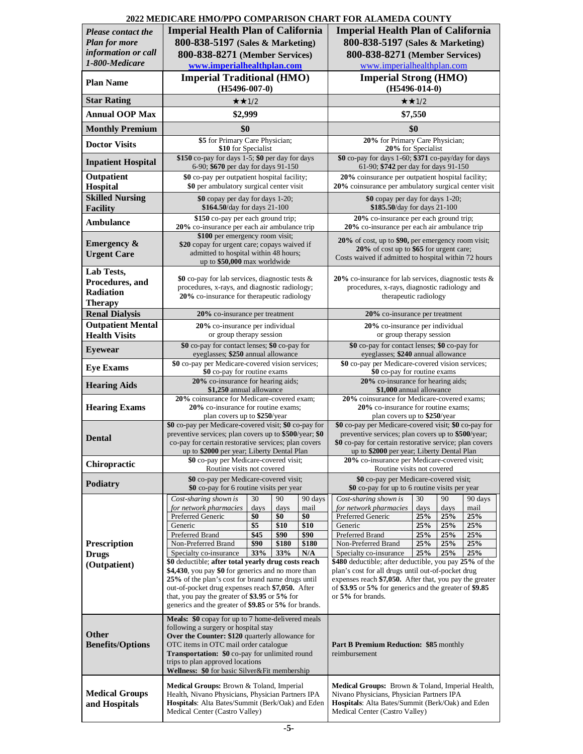#### *Please contact the Plan for more information or call 1-800-Medicare* **Imperial Health Plan of California 800-838-5197 (Sales & Marketing) 800-838-8271 (Member Services) [www.imperialhealthplan.com](http://www.imperialhealthplan.com) Imperial Health Plan of California 800-838-5197 (Sales & Marketing) 800-838-8271 (Member Services)** [www.imperialhealthplan.com](http://www.imperialhealthplan.com) **Plan Name Imperial Traditional (HMO) (H5496-007-0) Imperial Strong (HMO) (H5496-014-0) Star Rating** ★★1/2 ★★1/2 **Annual OOP Max \$2,999 \$7,550 Monthly Premium \$0 \$0 \$0 \$0 \$0 Doctor Visits \$5** for Primary Care Physician; **\$10** for Specialist **20%** for Primary Care Physician; **20%** for Specialist **Inpatient Hospital \$150** co-pay for days 1-5; \$0 per day for days 6-90; **\$670** per day for days 91-150 **\$0** co-pay for days 1-60; **\$371** co-pay/day for days 61-90; **\$742** per day for days 91-150 **Outpatient Hospital \$0** co-pay per outpatient hospital facility; **\$0** per ambulatory surgical center visit **20%** coinsurance per outpatient hospital facility; **20%** coinsurance per ambulatory surgical center visit **Skilled Nursing Facility \$0** copay per day for days 1-20; **\$164.50**/day for days 21-100 **\$0** copay per day for days 1-20; **\$185.50**/day for days 21-100 **Ambulance** \$150 co-pay per each ground trip; **20%** co-insurance per each air ambulance trip **20%** co-insurance per each ground trip; **20%** co-insurance per each air ambulance trip **Emergency & Urgent Care \$100** per emergency room visit; **\$20** copay for urgent care; copays waived if admitted to hospital within 48 hours; up to **\$50,000** max worldwide **20%** of cost, up to **\$90,** per emergency room visit; **20%** of cost up to **\$65** for urgent care; Costs waived if admitted to hospital within 72 hours **Lab Tests, Procedures, and Radiation Therapy \$0** co-pay for lab services, diagnostic tests & procedures, x-rays, and diagnostic radiology; **20%** co-insurance for therapeutic radiology **20%** co-insurance for lab services, diagnostic tests & procedures, x-rays, diagnostic radiology and therapeutic radiology **Renal Dialysis 20%** co-insurance per treatment **20%** co-insurance per treatment **Outpatient Mental Health Visits 20%** co-insurance per individual or group therapy session **20%** co-insurance per individual or group therapy session **Eyewear \$0** co-pay for contact lenses; **\$0** co-pay for eyeglasses; **\$250** annual allowance **\$0** co-pay for contact lenses; **\$0** co-pay for eyeglasses; **\$240** annual allowance **Eye Exams**  $\begin{bmatrix} 0 & 0 & 0 \\ 0 & 0 & 0 \\ 0 & 0 & 0 \end{bmatrix}$  **\$0** co-pay per Medicare-covered vision services; **\$0** co-pay for routine exams **\$0** co-pay per Medicare-covered vision services; **\$0** co-pay for routine exams **Hearing Aids 20%** co-insurance for hearing aids; **\$1,250** annual allowance **20%** co-insurance for hearing aids; **\$1,000** annual allowance **Hearing Exams 20%** coinsurance for Medicare-covered exam; **20%** co-insurance for routine exams; plan covers up to **\$250**/year **20%** coinsurance for Medicare-covered exams; **20%** co-insurance for routine exams; plan covers up to **\$250**/year **Dental \$0** co-pay per Medicare-covered visit; **\$0** co-pay for preventive services; plan covers up to **\$500**/year; **\$0**  co-pay for certain restorative services; plan covers up to **\$2000** per year; Liberty Dental Plan **\$0** co-pay per Medicare-covered visit; **\$0** co-pay for preventive services; plan covers up to **\$500**/year; **\$0** co-pay for certain restorative service; plan covers up to **\$2000** per year; Liberty Dental Plan **Chiropractic \$0** co-pay per Medicare-covered visit; Routine visits not covered **20%** co-insurance per Medicare-covered visit; Routine visits not covered **Podiatry \$0 co-pay per Medicare-covered visit;**<br>**\$0**  $\omega$  pay for 6 routing visits per year. **\$0** co-pay for 6 routine visits per year **\$0** co-pay per Medicare-covered visit; **\$0** co-pay for up to 6 routine visits per year **Prescription Drugs (Outpatient)** *Cost-sharing shown is for network pharmacies* 30 days<br>\$0 90  $\frac{days}{\$0}$ 90 days  $\frac{\text{mail}}{\$0}$  $Preferred Generic$ Generic **\$5 \$10 \$10** Preferred Brand **\$45 \$90 \$90**  $\overline{\text{Non-Preferred Brand}}$ Specialty co-insurance **33% 33% N/A \$0** deductible; **after total yearly drug costs reach \$4,430**, you pay **\$0** for generics and no more than **25%** of the plan's cost for brand name drugs until out-of-pocket drug expenses reach **\$7,050.** After that, you pay the greater of **\$3.95** or **5%** for generics and the greater of **\$9.85** or **5%** for brands. *Cost-sharing shown is for network pharmacies* 30  $\frac{days}{25\%}$ 90  $\frac{days}{25\%}$ 90 days  $\frac{\text{mail}}{25\%}$ Preferred Generic **25% 25% 25%** Generic **25% 25% 25%** Preferred Brand **25% 25% 25%** Non-Preferred Brand **25% 25% 25%** Specialty co-insurance **25% 25% 25% \$480** deductible; after deductible, you pay **25%** of the plan's cost for all drugs until out-of-pocket drug expenses reach **\$7,050.** After that, you pay the greater of **\$3.95** or **5%** for generics and the greater of **\$9.85** or **5%** for brands. **Other Benefits/Options Meals: \$0** copay for up to 7 home-delivered meals following a surgery or hospital stay **Over the Counter: \$120** quarterly allowance for OTC items in OTC mail order catalogue **Transportation: \$0** co-pay for unlimited round trips to plan approved locations **Wellness: \$0** for basic Silver&Fit membership **Part B Premium Reduction: \$85** monthly reimbursement **Medical Groups and Hospitals Medical Groups:** Brown & Toland, Imperial Health, Nivano Physicians, Physician Partners IPA **Hospitals**: Alta Bates/Summit (Berk/Oak) and Eden Medical Center (Castro Valley) **Medical Groups:** Brown & Toland, Imperial Health, Nivano Physicians, Physician Partners IPA **Hospitals**: Alta Bates/Summit (Berk/Oak) and Eden Medical Center (Castro Valley)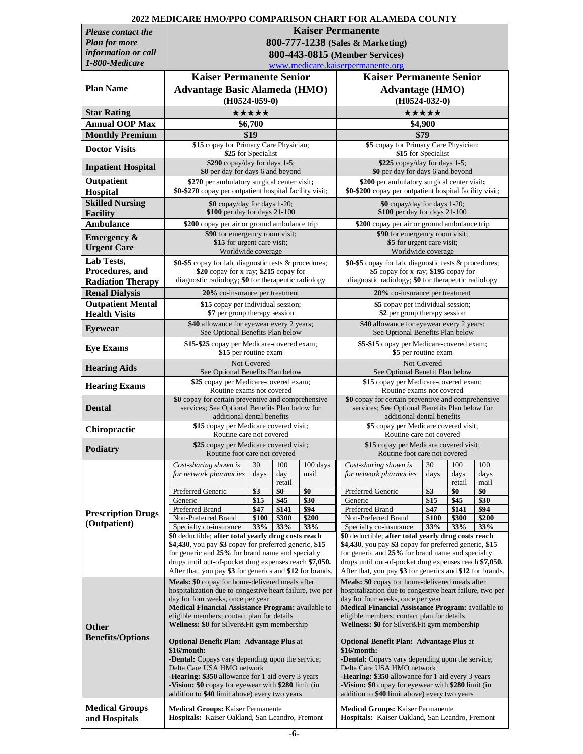|                                                   | <b>2022 MEDICARE HMO/PPO COMPARISON CHART FOR ALAMEDA COUNTY</b>                                             |                          |                                                                                                  |                          |                                                                                                              |                     |                |              |
|---------------------------------------------------|--------------------------------------------------------------------------------------------------------------|--------------------------|--------------------------------------------------------------------------------------------------|--------------------------|--------------------------------------------------------------------------------------------------------------|---------------------|----------------|--------------|
| <b>Please contact the</b>                         |                                                                                                              | <b>Kaiser Permanente</b> |                                                                                                  |                          |                                                                                                              |                     |                |              |
| <b>Plan for more</b>                              |                                                                                                              |                          |                                                                                                  |                          | 800-777-1238 (Sales & Marketing)                                                                             |                     |                |              |
| information or call                               |                                                                                                              |                          |                                                                                                  |                          | 800-443-0815 (Member Services)                                                                               |                     |                |              |
| 1-800-Medicare                                    |                                                                                                              |                          |                                                                                                  |                          | www.medicare.kaiserpermanente.org                                                                            |                     |                |              |
|                                                   | <b>Kaiser Permanente Senior</b>                                                                              |                          | <b>Kaiser Permanente Senior</b>                                                                  |                          |                                                                                                              |                     |                |              |
| <b>Plan Name</b>                                  | <b>Advantage Basic Alameda (HMO)</b>                                                                         |                          |                                                                                                  |                          | <b>Advantage (HMO)</b>                                                                                       |                     |                |              |
|                                                   | $(H0524-059-0)$                                                                                              |                          |                                                                                                  |                          |                                                                                                              | $(H0524-032-0)$     |                |              |
| <b>Star Rating</b>                                |                                                                                                              | ★★★★★                    |                                                                                                  |                          |                                                                                                              | ★★★★★               |                |              |
| <b>Annual OOP Max</b>                             |                                                                                                              | \$6,700                  |                                                                                                  |                          |                                                                                                              | \$4,900             |                |              |
| <b>Monthly Premium</b>                            | \$15 copay for Primary Care Physician;                                                                       | \$19                     |                                                                                                  |                          | \$5 copay for Primary Care Physician;                                                                        | \$79                |                |              |
| <b>Doctor Visits</b>                              | \$25 for Specialist                                                                                          |                          |                                                                                                  |                          |                                                                                                              | \$15 for Specialist |                |              |
| <b>Inpatient Hospital</b>                         | \$290 copay/day for days 1-5;<br>\$0 per day for days 6 and beyond                                           |                          |                                                                                                  |                          | \$225 copay/day for days 1-5;<br>\$0 per day for days 6 and beyond                                           |                     |                |              |
| Outpatient<br>Hospital                            | \$270 per ambulatory surgical center visit;<br>\$0-\$270 copay per outpatient hospital facility visit;       |                          |                                                                                                  |                          | \$200 per ambulatory surgical center visit;<br>\$0-\$200 copay per outpatient hospital facility visit;       |                     |                |              |
| <b>Skilled Nursing</b>                            | $$0$ copay/day for days 1-20;<br>\$100 per day for days 21-100                                               |                          |                                                                                                  |                          | \$0 copay/day for days 1-20;<br>\$100 per day for days 21-100                                                |                     |                |              |
| <b>Facility</b><br><b>Ambulance</b>               | \$200 copay per air or ground ambulance trip                                                                 |                          |                                                                                                  |                          | \$200 copay per air or ground ambulance trip                                                                 |                     |                |              |
|                                                   | \$90 for emergency room visit;                                                                               |                          |                                                                                                  |                          | \$90 for emergency room visit;                                                                               |                     |                |              |
| <b>Emergency &amp;</b><br><b>Urgent Care</b>      | \$15 for urgent care visit;<br>Worldwide coverage                                                            |                          |                                                                                                  |                          | \$5 for urgent care visit;<br>Worldwide coverage                                                             |                     |                |              |
| Lab Tests,                                        | \$0-\$5 copay for lab, diagnostic tests & procedures;                                                        |                          |                                                                                                  |                          | \$0-\$5 copay for lab, diagnostic tests & procedures;                                                        |                     |                |              |
| Procedures, and                                   | $$20$ copay for x-ray; $$215$ copay for                                                                      |                          |                                                                                                  |                          | \$5 copay for x-ray; \$195 copay for                                                                         |                     |                |              |
| <b>Radiation Therapy</b>                          | diagnostic radiology; \$0 for therapeutic radiology                                                          |                          |                                                                                                  |                          | diagnostic radiology; \$0 for therapeutic radiology                                                          |                     |                |              |
| <b>Renal Dialysis</b><br><b>Outpatient Mental</b> | 20% co-insurance per treatment                                                                               |                          |                                                                                                  |                          | 20% co-insurance per treatment                                                                               |                     |                |              |
| <b>Health Visits</b>                              | \$15 copay per individual session;<br>\$7 per group therapy session                                          |                          |                                                                                                  |                          | \$5 copay per individual session;<br>\$2 per group therapy session                                           |                     |                |              |
| <b>Eyewear</b>                                    | \$40 allowance for eyewear every 2 years;<br>See Optional Benefits Plan below                                |                          |                                                                                                  |                          | \$40 allowance for eyewear every 2 years;<br>See Optional Benefits Plan below                                |                     |                |              |
| <b>Eye Exams</b>                                  | \$15-\$25 copay per Medicare-covered exam;<br>\$15 per routine exam                                          |                          |                                                                                                  |                          | \$5-\$15 copay per Medicare-covered exam;<br>\$5 per routine exam                                            |                     |                |              |
| <b>Hearing Aids</b>                               | Not Covered<br>See Optional Benefits Plan below                                                              |                          |                                                                                                  |                          | See Optional Benefit Plan below                                                                              | Not Covered         |                |              |
| <b>Hearing Exams</b>                              | \$25 copay per Medicare-covered exam:<br>Routine exams not covered                                           |                          |                                                                                                  |                          | \$15 copay per Medicare-covered exam:<br>Routine exams not covered                                           |                     |                |              |
|                                                   | \$0 copay for certain preventive and comprehensive                                                           |                          |                                                                                                  |                          | \$0 copay for certain preventive and comprehensive                                                           |                     |                |              |
| <b>Dental</b>                                     | services; See Optional Benefits Plan below for                                                               |                          |                                                                                                  |                          | services; See Optional Benefits Plan below for                                                               |                     |                |              |
|                                                   | additional dental benefits<br>\$15 copay per Medicare covered visit;                                         |                          |                                                                                                  |                          | additional dental benefits<br>\$5 copay per Medicare covered visit;                                          |                     |                |              |
| Chiropractic                                      | Routine care not covered                                                                                     |                          |                                                                                                  |                          | Routine care not covered                                                                                     |                     |                |              |
| Podiatry                                          | \$25 copay per Medicare covered visit;<br>Routine foot care not covered                                      |                          |                                                                                                  |                          | \$15 copay per Medicare covered visit;<br>Routine foot care not covered                                      |                     |                |              |
|                                                   | Cost-sharing shown is                                                                                        | 30                       | 100                                                                                              | 100 days                 | Cost-sharing shown is                                                                                        | 30                  | 100            | 100          |
|                                                   | for network pharmacies                                                                                       | days                     | day<br>retail                                                                                    | mail                     | for network pharmacies                                                                                       | days                | days<br>retail | days<br>mail |
|                                                   | Preferred Generic                                                                                            | \$3                      | \$0                                                                                              | \$0                      | Preferred Generic                                                                                            | \$3                 | \$0            | \$0          |
|                                                   | Generic                                                                                                      | \$15                     | \$45                                                                                             | \$30                     | Generic                                                                                                      | \$15                | \$45           | \$30         |
| <b>Prescription Drugs</b>                         | Preferred Brand                                                                                              | \$47                     | \$141                                                                                            | \$94                     | Preferred Brand                                                                                              | \$47                | \$141          | \$94         |
| (Outpatient)                                      | Non-Preferred Brand                                                                                          | \$100                    | \$300                                                                                            | \$200<br>$33\frac{6}{6}$ | Non-Preferred Brand<br>Specialty co-insurance                                                                | \$100               | \$300          | \$200<br>33% |
|                                                   | Specialty co-insurance<br>\$0 deductible; after total yearly drug costs reach                                | 33%                      | 33%                                                                                              |                          | \$0 deductible; after total yearly drug costs reach                                                          | 33%                 | 33%            |              |
|                                                   | \$4,430, you pay \$3 copay for preferred generic, \$15                                                       |                          |                                                                                                  |                          | \$4,430, you pay \$3 copay for preferred generic, \$15                                                       |                     |                |              |
|                                                   | for generic and 25% for brand name and specialty                                                             |                          |                                                                                                  |                          | for generic and 25% for brand name and specialty                                                             |                     |                |              |
|                                                   | drugs until out-of-pocket drug expenses reach \$7,050.                                                       |                          |                                                                                                  |                          | drugs until out-of-pocket drug expenses reach \$7,050.                                                       |                     |                |              |
|                                                   | After that, you pay \$3 for generics and \$12 for brands.<br>Meals: \$0 copay for home-delivered meals after |                          |                                                                                                  |                          | After that, you pay \$3 for generics and \$12 for brands.<br>Meals: \$0 copay for home-delivered meals after |                     |                |              |
|                                                   | hospitalization due to congestive heart failure, two per                                                     |                          | hospitalization due to congestive heart failure, two per                                         |                          |                                                                                                              |                     |                |              |
|                                                   | day for four weeks, once per year                                                                            |                          |                                                                                                  |                          | day for four weeks, once per year                                                                            |                     |                |              |
|                                                   | Medical Financial Assistance Program: available to                                                           |                          | Medical Financial Assistance Program: available to<br>eligible members; contact plan for details |                          |                                                                                                              |                     |                |              |
| Other                                             | eligible members; contact plan for details<br>Wellness: \$0 for Silver&Fit gym membership                    |                          | Wellness: \$0 for Silver&Fit gym membership                                                      |                          |                                                                                                              |                     |                |              |
| <b>Benefits/Options</b>                           |                                                                                                              |                          |                                                                                                  |                          |                                                                                                              |                     |                |              |
|                                                   | <b>Optional Benefit Plan: Advantage Plus at</b>                                                              |                          |                                                                                                  |                          | <b>Optional Benefit Plan: Advantage Plus at</b>                                                              |                     |                |              |
|                                                   | \$16/month:<br>-Dental: Copays vary depending upon the service;                                              |                          |                                                                                                  |                          | \$16/month:<br>-Dental: Copays vary depending upon the service;                                              |                     |                |              |
|                                                   | Delta Care USA HMO network                                                                                   |                          |                                                                                                  |                          | Delta Care USA HMO network                                                                                   |                     |                |              |
|                                                   | -Hearing: \$350 allowance for 1 aid every 3 years                                                            |                          |                                                                                                  |                          | -Hearing: \$350 allowance for 1 aid every 3 years                                                            |                     |                |              |
|                                                   | -Vision: \$0 copay for eyewear with \$280 limit (in<br>addition to \$40 limit above) every two years         |                          |                                                                                                  |                          | -Vision: \$0 copay for eyewear with \$280 limit (in<br>addition to \$40 limit above) every two years         |                     |                |              |
|                                                   |                                                                                                              |                          |                                                                                                  |                          |                                                                                                              |                     |                |              |
| <b>Medical Groups</b><br>and Hospitals            | <b>Medical Groups: Kaiser Permanente</b><br>Hospitals: Kaiser Oakland, San Leandro, Fremont                  |                          |                                                                                                  |                          | <b>Medical Groups: Kaiser Permanente</b>                                                                     |                     |                |              |
|                                                   |                                                                                                              |                          |                                                                                                  |                          | Hospitals: Kaiser Oakland, San Leandro, Fremont                                                              |                     |                |              |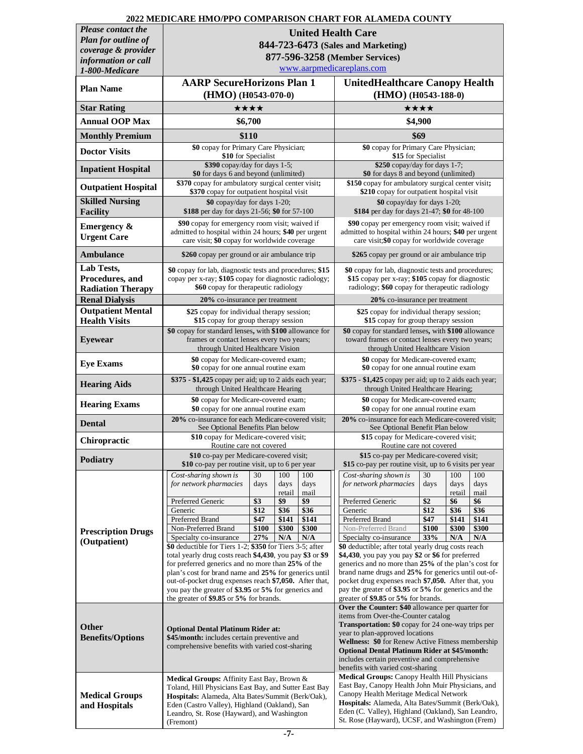|                                                   | 2022 MEDICARE HMO/PPO COMPARISON CHART FOR ALAMEDA COUNTY                                                                                |                                                                                                                                             |  |  |  |  |  |  |  |
|---------------------------------------------------|------------------------------------------------------------------------------------------------------------------------------------------|---------------------------------------------------------------------------------------------------------------------------------------------|--|--|--|--|--|--|--|
| <b>Please contact the</b>                         | <b>United Health Care</b>                                                                                                                |                                                                                                                                             |  |  |  |  |  |  |  |
| <b>Plan for outline of</b><br>coverage & provider | 844-723-6473 (Sales and Marketing)                                                                                                       |                                                                                                                                             |  |  |  |  |  |  |  |
| information or call                               | 877-596-3258 (Member Services)                                                                                                           |                                                                                                                                             |  |  |  |  |  |  |  |
| 1-800-Medicare                                    | www.aarpmedicareplans.com                                                                                                                |                                                                                                                                             |  |  |  |  |  |  |  |
| <b>Plan Name</b>                                  | <b>AARP SecureHorizons Plan 1</b>                                                                                                        | <b>UnitedHealthcare Canopy Health</b>                                                                                                       |  |  |  |  |  |  |  |
|                                                   | $(HMO)$ (H0543-070-0)                                                                                                                    | $(HMO)$ (H0543-188-0)                                                                                                                       |  |  |  |  |  |  |  |
| <b>Star Rating</b>                                | ★★★★                                                                                                                                     | ★★★★                                                                                                                                        |  |  |  |  |  |  |  |
| <b>Annual OOP Max</b>                             | \$6,700                                                                                                                                  | \$4,900                                                                                                                                     |  |  |  |  |  |  |  |
| <b>Monthly Premium</b>                            | \$110                                                                                                                                    | \$69                                                                                                                                        |  |  |  |  |  |  |  |
| <b>Doctor Visits</b>                              | \$0 copay for Primary Care Physician;<br>\$10 for Specialist                                                                             | \$0 copay for Primary Care Physician;<br>\$15 for Specialist                                                                                |  |  |  |  |  |  |  |
| <b>Inpatient Hospital</b>                         | \$390 copay/day for days 1-5;<br>\$0 for days 6 and beyond (unlimited)                                                                   | \$250 copay/day for days 1-7;<br>\$0 for days 8 and beyond (unlimited)                                                                      |  |  |  |  |  |  |  |
| <b>Outpatient Hospital</b>                        | \$370 copay for ambulatory surgical center visit;<br>\$370 copay for outpatient hospital visit                                           | \$150 copay for ambulatory surgical center visit;<br>\$210 copay for outpatient hospital visit                                              |  |  |  |  |  |  |  |
| <b>Skilled Nursing</b><br><b>Facility</b>         | \$0 copay/day for days 1-20;<br>\$188 per day for days 21-56; \$0 for 57-100                                                             | $$0$ copay/day for days 1-20;<br>\$184 per day for days 21-47; \$0 for 48-100                                                               |  |  |  |  |  |  |  |
| <b>Emergency &amp;</b>                            | \$90 copay for emergency room visit; waived if<br>admitted to hospital within 24 hours; \$40 per urgent                                  | \$90 copay per emergency room visit; waived if<br>admitted to hospital within 24 hours; \$40 per urgent                                     |  |  |  |  |  |  |  |
| <b>Urgent Care</b>                                | care visit; \$0 copay for worldwide coverage                                                                                             | care visit; \$0 copay for worldwide coverage                                                                                                |  |  |  |  |  |  |  |
| <b>Ambulance</b>                                  | \$260 copay per ground or air ambulance trip                                                                                             | \$265 copay per ground or air ambulance trip                                                                                                |  |  |  |  |  |  |  |
| Lab Tests,                                        | \$0 copay for lab, diagnostic tests and procedures; \$15                                                                                 | \$0 copay for lab, diagnostic tests and procedures;                                                                                         |  |  |  |  |  |  |  |
| Procedures, and<br><b>Radiation Therapy</b>       | copay per x-ray; \$105 copay for diagnostic radiology;<br>\$60 copay for therapeutic radiology                                           | \$15 copay per x-ray; \$105 copay for diagnostic<br>radiology; \$60 copay for therapeutic radiology                                         |  |  |  |  |  |  |  |
| <b>Renal Dialysis</b>                             | 20% co-insurance per treatment                                                                                                           | 20% co-insurance per treatment                                                                                                              |  |  |  |  |  |  |  |
| <b>Outpatient Mental</b>                          | \$25 copay for individual therapy session;                                                                                               | \$25 copay for individual therapy session;                                                                                                  |  |  |  |  |  |  |  |
| <b>Health Visits</b>                              | \$15 copay for group therapy session                                                                                                     | \$15 copay for group therapy session                                                                                                        |  |  |  |  |  |  |  |
| <b>Eyewear</b>                                    | \$0 copay for standard lenses, with \$100 allowance for<br>frames or contact lenses every two years;<br>through United Healthcare Vision | \$0 copay for standard lenses, with \$100 allowance<br>toward frames or contact lenses every two years;<br>through United Healthcare Vision |  |  |  |  |  |  |  |
| <b>Eye Exams</b>                                  | \$0 copay for Medicare-covered exam;<br>\$0 copay for one annual routine exam                                                            | \$0 copay for Medicare-covered exam;<br>\$0 copay for one annual routine exam                                                               |  |  |  |  |  |  |  |
| <b>Hearing Aids</b>                               | \$375 - \$1,425 copay per aid; up to 2 aids each year;<br>through United Healthcare Hearing                                              | \$375 - \$1,425 copay per aid; up to 2 aids each year;<br>through United Healthcare Hearing;                                                |  |  |  |  |  |  |  |
| <b>Hearing Exams</b>                              | \$0 copay for Medicare-covered exam;<br>\$0 copay for one annual routine exam                                                            | \$0 copay for Medicare-covered exam;<br>\$0 copay for one annual routine exam                                                               |  |  |  |  |  |  |  |
| <b>Dental</b>                                     | 20% co-insurance for each Medicare-covered visit;<br>See Optional Benefits Plan below                                                    | 20% co-insurance for each Medicare-covered visit;<br>See Optional Benefit Plan below                                                        |  |  |  |  |  |  |  |
| <b>Chiropractic</b>                               | \$10 copay for Medicare-covered visit;<br>Routine care not covered                                                                       | \$15 copay for Medicare-covered visit;<br>Routine care not covered                                                                          |  |  |  |  |  |  |  |
| Podiatry                                          | \$10 co-pay per Medicare-covered visit;<br>\$10 co-pay per routine visit, up to 6 per year                                               | \$15 co-pay per Medicare-covered visit;<br>\$15 co-pay per routine visit, up to 6 visits per year                                           |  |  |  |  |  |  |  |
|                                                   | Cost-sharing shown is<br>30<br>100<br>100                                                                                                | Cost-sharing shown is<br>30<br>100<br>100                                                                                                   |  |  |  |  |  |  |  |
|                                                   | for network pharmacies<br>days<br>days<br>days<br>mail<br>retail                                                                         | for network pharmacies<br>days<br>days<br>days<br>retail<br>mail                                                                            |  |  |  |  |  |  |  |
|                                                   | \$9<br>\$9<br>Preferred Generic<br>\$3                                                                                                   | \$6<br>Preferred Generic<br>\$2<br>\$6                                                                                                      |  |  |  |  |  |  |  |
|                                                   | Generic<br>\$12<br>\$36<br>\$36<br>Preferred Brand<br>\$47<br>\$141<br>\$141                                                             | Generic<br>\$12<br>\$36<br>\$36<br>Preferred Brand<br>\$47<br>\$141<br>\$141                                                                |  |  |  |  |  |  |  |
| <b>Prescription Drugs</b>                         | Non-Preferred Brand<br>\$100<br>\$300<br>\$300                                                                                           | Non-Preferred Brand<br>\$100<br>\$300<br>\$300                                                                                              |  |  |  |  |  |  |  |
| (Outpatient)                                      | Specialty co-insurance<br>27%<br>N/A<br>N/A                                                                                              | Specialty co-insurance<br>33%<br>N/A<br>N/A                                                                                                 |  |  |  |  |  |  |  |
|                                                   | \$0 deductible for Tiers $1-2$ ; \$350 for Tiers $3-5$ ; after<br>total yearly drug costs reach \$4,430, you pay \$3 or \$9              | \$0 deductible; after total yearly drug costs reach<br>\$4,430, you pay you pay \$2 or \$6 for preferred                                    |  |  |  |  |  |  |  |
|                                                   | for preferred generics and no more than 25% of the                                                                                       | generics and no more than 25% of the plan's cost for                                                                                        |  |  |  |  |  |  |  |
|                                                   | plan's cost for brand name and 25% for generics until<br>out-of-pocket drug expenses reach \$7,050. After that,                          | brand name drugs and 25% for generics until out-of-<br>pocket drug expenses reach \$7,050. After that, you                                  |  |  |  |  |  |  |  |
|                                                   | you pay the greater of \$3.95 or 5% for generics and                                                                                     | pay the greater of \$3.95 or 5% for generics and the                                                                                        |  |  |  |  |  |  |  |
|                                                   | the greater of \$9.85 or 5% for brands.                                                                                                  | greater of \$9.85 or $5\%$ for brands.<br>Over the Counter: \$40 allowance per quarter for                                                  |  |  |  |  |  |  |  |
|                                                   |                                                                                                                                          | items from Over-the-Counter catalog                                                                                                         |  |  |  |  |  |  |  |
| Other                                             | <b>Optional Dental Platinum Rider at:</b>                                                                                                | <b>Transportation: \$0</b> copay for 24 one-way trips per<br>year to plan-approved locations                                                |  |  |  |  |  |  |  |
| <b>Benefits/Options</b>                           | \$45/month: includes certain preventive and<br>comprehensive benefits with varied cost-sharing                                           | <b>Wellness: \$0</b> for Renew Active Fitness membership                                                                                    |  |  |  |  |  |  |  |
|                                                   |                                                                                                                                          | <b>Optional Dental Platinum Rider at \$45/month:</b><br>includes certain preventive and comprehensive                                       |  |  |  |  |  |  |  |
|                                                   |                                                                                                                                          | benefits with varied cost-sharing                                                                                                           |  |  |  |  |  |  |  |
|                                                   | Medical Groups: Affinity East Bay, Brown &                                                                                               | <b>Medical Groups: Canopy Health Hill Physicians</b><br>East Bay, Canopy Health John Muir Physicians, and                                   |  |  |  |  |  |  |  |
| <b>Medical Groups</b>                             | Toland, Hill Physicians East Bay, and Sutter East Bay<br>Hospitals: Alameda, Alta Bates/Summit (Berk/Oak),                               | Canopy Health Meritage Medical Network                                                                                                      |  |  |  |  |  |  |  |
| and Hospitals                                     | Eden (Castro Valley), Highland (Oakland), San                                                                                            | Hospitals: Alameda, Alta Bates/Summit (Berk/Oak),                                                                                           |  |  |  |  |  |  |  |
|                                                   | Leandro, St. Rose (Hayward), and Washington<br>(Fremont)                                                                                 | Eden (C. Valley), Highland (Oakland), San Leandro,<br>St. Rose (Hayward), UCSF, and Washington (Frem)                                       |  |  |  |  |  |  |  |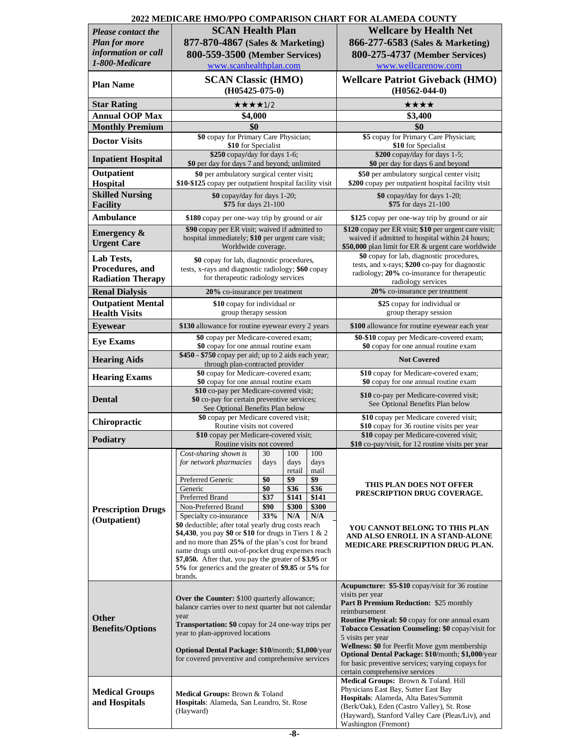| <b>Please contact the</b><br><b>Plan for more</b><br>information or call<br>1-800-Medicare | <b>SCAN Health Plan</b><br>877-870-4867 (Sales & Marketing)<br>800-559-3500 (Member Services)<br>www.scanhealthplan.com                                                                                                                                                                                                                                                                                                                               |                            |                                        |                                                                                | <b>Wellcare by Health Net</b><br>866-277-6583 (Sales & Marketing)<br>800-275-4737 (Member Services)<br>www.wellcarenow.com                                                                                                                                                                                                                                                                                                    |  |  |  |
|--------------------------------------------------------------------------------------------|-------------------------------------------------------------------------------------------------------------------------------------------------------------------------------------------------------------------------------------------------------------------------------------------------------------------------------------------------------------------------------------------------------------------------------------------------------|----------------------------|----------------------------------------|--------------------------------------------------------------------------------|-------------------------------------------------------------------------------------------------------------------------------------------------------------------------------------------------------------------------------------------------------------------------------------------------------------------------------------------------------------------------------------------------------------------------------|--|--|--|
| <b>Plan Name</b>                                                                           | <b>SCAN Classic (HMO)</b><br>$(H05425-075-0)$                                                                                                                                                                                                                                                                                                                                                                                                         |                            |                                        |                                                                                | <b>Wellcare Patriot Giveback (HMO)</b><br>$(H0562-044-0)$                                                                                                                                                                                                                                                                                                                                                                     |  |  |  |
| <b>Star Rating</b>                                                                         | ★★★★1/2                                                                                                                                                                                                                                                                                                                                                                                                                                               |                            |                                        |                                                                                | ★★★★                                                                                                                                                                                                                                                                                                                                                                                                                          |  |  |  |
| <b>Annual OOP Max</b>                                                                      | \$4,000                                                                                                                                                                                                                                                                                                                                                                                                                                               |                            |                                        |                                                                                | \$3,400                                                                                                                                                                                                                                                                                                                                                                                                                       |  |  |  |
| <b>Monthly Premium</b>                                                                     | \$0<br>\$0 copay for Primary Care Physician;                                                                                                                                                                                                                                                                                                                                                                                                          |                            |                                        | \$0<br>\$5 copay for Primary Care Physician;                                   |                                                                                                                                                                                                                                                                                                                                                                                                                               |  |  |  |
| <b>Doctor Visits</b>                                                                       | \$10 for Specialist                                                                                                                                                                                                                                                                                                                                                                                                                                   |                            |                                        |                                                                                | \$10 for Specialist                                                                                                                                                                                                                                                                                                                                                                                                           |  |  |  |
| <b>Inpatient Hospital</b>                                                                  | \$250 copay/day for days 1-6;<br>\$0 per day for days 7 and beyond; unlimited                                                                                                                                                                                                                                                                                                                                                                         |                            |                                        |                                                                                | \$200 copay/day for days 1-5;<br>\$0 per day for days 6 and beyond                                                                                                                                                                                                                                                                                                                                                            |  |  |  |
| Outpatient<br>Hospital                                                                     | \$0 per ambulatory surgical center visit;<br>\$10-\$125 copay per outpatient hospital facility visit                                                                                                                                                                                                                                                                                                                                                  |                            |                                        |                                                                                | \$50 per ambulatory surgical center visit;<br>\$200 copay per outpatient hospital facility visit                                                                                                                                                                                                                                                                                                                              |  |  |  |
| <b>Skilled Nursing</b><br><b>Facility</b>                                                  | \$0 copay/day for days 1-20;<br>\$75 for days 21-100                                                                                                                                                                                                                                                                                                                                                                                                  |                            |                                        |                                                                                | \$0 copay/day for days 1-20;<br>\$75 for days 21-100                                                                                                                                                                                                                                                                                                                                                                          |  |  |  |
| <b>Ambulance</b>                                                                           | \$180 copay per one-way trip by ground or air                                                                                                                                                                                                                                                                                                                                                                                                         |                            |                                        |                                                                                | \$125 copay per one-way trip by ground or air                                                                                                                                                                                                                                                                                                                                                                                 |  |  |  |
| <b>Emergency &amp;</b><br><b>Urgent Care</b>                                               | \$90 copay per ER visit; waived if admitted to<br>hospital immediately; \$10 per urgent care visit;<br>Worldwide coverage.                                                                                                                                                                                                                                                                                                                            |                            |                                        |                                                                                | \$120 copay per ER visit; \$10 per urgent care visit;<br>waived if admitted to hospital within 24 hours;<br>\$50,000 plan limit for ER & urgent care worldwide                                                                                                                                                                                                                                                                |  |  |  |
| Lab Tests.<br>Procedures, and<br><b>Radiation Therapy</b>                                  | \$0 copay for lab, diagnostic procedures,<br>tests, x-rays and diagnostic radiology; \$60 copay<br>for therapeutic radiology services                                                                                                                                                                                                                                                                                                                 |                            |                                        |                                                                                | \$0 copay for lab, diagnostic procedures,<br>tests, and x-rays; \$200 co-pay for diagnostic<br>radiology; 20% co-insurance for therapeutic<br>radiology services                                                                                                                                                                                                                                                              |  |  |  |
| <b>Renal Dialysis</b>                                                                      | 20% co-insurance per treatment                                                                                                                                                                                                                                                                                                                                                                                                                        |                            |                                        |                                                                                | 20% co-insurance per treatment                                                                                                                                                                                                                                                                                                                                                                                                |  |  |  |
| <b>Outpatient Mental</b><br><b>Health Visits</b>                                           | \$10 copay for individual or<br>group therapy session                                                                                                                                                                                                                                                                                                                                                                                                 |                            |                                        |                                                                                | \$25 copay for individual or<br>group therapy session                                                                                                                                                                                                                                                                                                                                                                         |  |  |  |
| <b>Eyewear</b>                                                                             | \$130 allowance for routine eyewear every 2 years                                                                                                                                                                                                                                                                                                                                                                                                     |                            |                                        |                                                                                | \$100 allowance for routine eyewear each year                                                                                                                                                                                                                                                                                                                                                                                 |  |  |  |
| <b>Eye Exams</b>                                                                           | \$0 copay per Medicare-covered exam;<br>\$0 copay for one annual routine exam                                                                                                                                                                                                                                                                                                                                                                         |                            |                                        |                                                                                | \$0-\$10 copay per Medicare-covered exam;<br>\$0 copay for one annual routine exam                                                                                                                                                                                                                                                                                                                                            |  |  |  |
| <b>Hearing Aids</b>                                                                        | \$450 - \$750 copay per aid; up to 2 aids each year;<br>through plan-contracted provider                                                                                                                                                                                                                                                                                                                                                              |                            |                                        | <b>Not Covered</b>                                                             |                                                                                                                                                                                                                                                                                                                                                                                                                               |  |  |  |
| <b>Hearing Exams</b>                                                                       | \$0 copay for Medicare-covered exam;<br>\$0 copay for one annual routine exam                                                                                                                                                                                                                                                                                                                                                                         |                            |                                        | \$10 copay for Medicare-covered exam;<br>\$0 copay for one annual routine exam |                                                                                                                                                                                                                                                                                                                                                                                                                               |  |  |  |
| <b>Dental</b>                                                                              | \$10 co-pay per Medicare-covered visit;<br>\$0 co-pay for certain preventive services;<br>See Optional Benefits Plan below                                                                                                                                                                                                                                                                                                                            |                            |                                        |                                                                                | \$10 co-pay per Medicare-covered visit;<br>See Optional Benefits Plan below                                                                                                                                                                                                                                                                                                                                                   |  |  |  |
| Chiropractic                                                                               | \$0 copay per Medicare covered visit;<br>Routine visits not covered                                                                                                                                                                                                                                                                                                                                                                                   |                            |                                        |                                                                                | \$10 copay per Medicare covered visit;<br>\$10 copay for 36 routine visits per year                                                                                                                                                                                                                                                                                                                                           |  |  |  |
| <b>Podiatry</b>                                                                            | \$10 copay per Medicare-covered visit;<br>Routine visits not covered                                                                                                                                                                                                                                                                                                                                                                                  |                            |                                        |                                                                                | \$10 copay per Medicare-covered visit;<br>\$10 co-pay/visit, for 12 routine visits per year                                                                                                                                                                                                                                                                                                                                   |  |  |  |
|                                                                                            | Cost-sharing shown is                                                                                                                                                                                                                                                                                                                                                                                                                                 | 30                         | 100                                    | 100                                                                            |                                                                                                                                                                                                                                                                                                                                                                                                                               |  |  |  |
|                                                                                            | for network pharmacies<br>Preferred Generic<br>Generic<br><b>Preferred Brand</b>                                                                                                                                                                                                                                                                                                                                                                      | days<br>\$0<br>\$0<br>\$37 | days<br>retail<br>\$9<br>\$36<br>\$141 | days<br>mail<br>\$9<br>\$36<br>\$141                                           | THIS PLAN DOES NOT OFFER<br>PRESCRIPTION DRUG COVERAGE.                                                                                                                                                                                                                                                                                                                                                                       |  |  |  |
| <b>Prescription Drugs</b><br>(Outpatient)                                                  | Non-Preferred Brand<br>\$300<br>\$300<br>\$90<br>33%<br>N/A<br>Specialty co-insurance<br>N/A<br>\$0 deductible; after total yearly drug costs reach<br>\$4,430, you pay \$0 or \$10 for drugs in Tiers $1 \& 2$<br>and no more than 25% of the plan's cost for brand<br>name drugs until out-of-pocket drug expenses reach<br>\$7,050. After that, you pay the greater of \$3.95 or<br>5% for generics and the greater of \$9.85 or 5% for<br>brands. |                            |                                        |                                                                                | YOU CANNOT BELONG TO THIS PLAN<br>AND ALSO ENROLL IN A STAND-ALONE<br><b>MEDICARE PRESCRIPTION DRUG PLAN.</b>                                                                                                                                                                                                                                                                                                                 |  |  |  |
| <b>Other</b><br><b>Benefits/Options</b>                                                    | Over the Counter: \$100 quarterly allowance;<br>balance carries over to next quarter but not calendar<br>year<br><b>Transportation: \$0</b> copay for 24 one-way trips per<br>year to plan-approved locations<br>Optional Dental Package: \$10/month; \$1,000/year<br>for covered preventive and comprehensive services                                                                                                                               |                            |                                        |                                                                                | Acupuncture: \$5-\$10 copay/visit for 36 routine<br>visits per year<br>Part B Premium Reduction: \$25 monthly<br>reimbursement<br><b>Routine Physical: \$0</b> copay for one annual exam<br>Tobacco Cessation Counseling: \$0 copay/visit for<br>5 visits per year<br>Wellness: \$0 for Peerfit Move gym membership<br>Optional Dental Package: \$10/month; \$1,000/year<br>for basic preventive services; varying copays for |  |  |  |
| <b>Medical Groups</b><br>and Hospitals                                                     | <b>Medical Groups: Brown &amp; Toland</b><br>Hospitals: Alameda, San Leandro, St. Rose<br>(Hayward)                                                                                                                                                                                                                                                                                                                                                   |                            |                                        |                                                                                | certain comprehensive services<br>Medical Groups: Brown & Toland, Hill<br>Physicians East Bay, Sutter East Bay<br>Hospitals: Alameda, Alta Bates/Summit<br>(Berk/Oak), Eden (Castro Valley), St. Rose<br>(Hayward), Stanford Valley Care (Pleas/Liv), and<br>Washington (Fremont)                                                                                                                                             |  |  |  |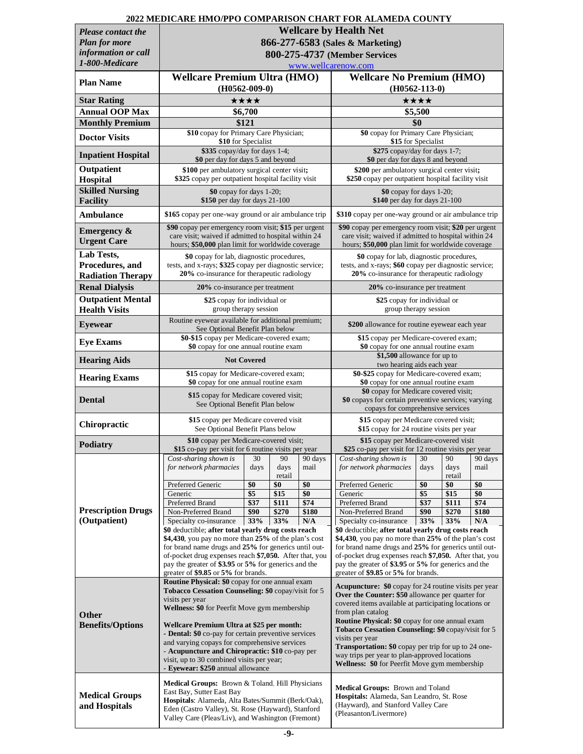|                                                                          | 2022 MEDICARE HMO/PPO COMPARISON CHART FOR ALAMEDA COUNTY                                                   |                                   |                                                       |                                                                                                    |                                                                                                                                   |                     |               |                 |
|--------------------------------------------------------------------------|-------------------------------------------------------------------------------------------------------------|-----------------------------------|-------------------------------------------------------|----------------------------------------------------------------------------------------------------|-----------------------------------------------------------------------------------------------------------------------------------|---------------------|---------------|-----------------|
| <b>Please contact the</b><br><b>Plan for more</b><br>information or call |                                                                                                             |                                   |                                                       | <b>Wellcare by Health Net</b><br>866-277-6583 (Sales & Marketing)<br>800-275-4737 (Member Services |                                                                                                                                   |                     |               |                 |
| 1-800-Medicare<br><b>Plan Name</b>                                       | www.wellcarenow.com<br><b>Wellcare Premium Ultra (HMO)</b><br>$(H0562-009-0)$                               |                                   |                                                       |                                                                                                    | <b>Wellcare No Premium (HMO)</b>                                                                                                  |                     |               |                 |
| <b>Star Rating</b>                                                       |                                                                                                             |                                   |                                                       |                                                                                                    | $(H0562-113-0)$<br>★★★★                                                                                                           |                     |               |                 |
| <b>Annual OOP Max</b>                                                    |                                                                                                             | ★★★★                              |                                                       |                                                                                                    |                                                                                                                                   | \$5,500             |               |                 |
| <b>Monthly Premium</b>                                                   |                                                                                                             | \$6,700<br>\$121                  |                                                       |                                                                                                    |                                                                                                                                   | \$0                 |               |                 |
|                                                                          | \$10 copay for Primary Care Physician;                                                                      |                                   |                                                       |                                                                                                    | \$0 copay for Primary Care Physician;                                                                                             |                     |               |                 |
| <b>Doctor Visits</b>                                                     | \$10 for Specialist<br>\$335 copay/day for days 1-4;                                                        |                                   |                                                       |                                                                                                    | \$275 copay/day for days 1-7;                                                                                                     | \$15 for Specialist |               |                 |
| <b>Inpatient Hospital</b><br>Outpatient                                  | \$0 per day for days 5 and beyond                                                                           | \$0 per day for days 8 and beyond |                                                       |                                                                                                    |                                                                                                                                   |                     |               |                 |
| Hospital                                                                 | \$100 per ambulatory surgical center visit;<br>\$325 copay per outpatient hospital facility visit           |                                   |                                                       |                                                                                                    | \$200 per ambulatory surgical center visit;<br>\$250 copay per outpatient hospital facility visit                                 |                     |               |                 |
| <b>Skilled Nursing</b><br>Facility                                       | $$0$ copay for days 1-20;<br>\$150 per day for days 21-100                                                  |                                   |                                                       |                                                                                                    | $$0$ copay for days 1-20;<br>$$140$ per day for days 21-100                                                                       |                     |               |                 |
| Ambulance                                                                | \$165 copay per one-way ground or air ambulance trip                                                        |                                   |                                                       |                                                                                                    | \$310 copay per one-way ground or air ambulance trip                                                                              |                     |               |                 |
| <b>Emergency &amp;</b>                                                   | \$90 copay per emergency room visit; \$15 per urgent                                                        |                                   |                                                       |                                                                                                    | \$90 copay per emergency room visit; \$20 per urgent                                                                              |                     |               |                 |
| <b>Urgent Care</b>                                                       | care visit; waived if admitted to hospital within 24<br>hours; \$50,000 plan limit for worldwide coverage   |                                   |                                                       |                                                                                                    | care visit; waived if admitted to hospital within 24<br>hours; \$50,000 plan limit for worldwide coverage                         |                     |               |                 |
| Lab Tests,                                                               | \$0 copay for lab, diagnostic procedures,                                                                   |                                   |                                                       |                                                                                                    | \$0 copay for lab, diagnostic procedures,                                                                                         |                     |               |                 |
| Procedures, and                                                          | tests, and x-rays; \$325 copay per diagnostic service;<br>20% co-insurance for therapeutic radiology        |                                   |                                                       |                                                                                                    | tests, and x-rays; \$60 copay per diagnostic service;<br>20% co-insurance for therapeutic radiology                               |                     |               |                 |
| <b>Radiation Therapy</b>                                                 |                                                                                                             |                                   |                                                       |                                                                                                    |                                                                                                                                   |                     |               |                 |
| <b>Renal Dialysis</b>                                                    | 20% co-insurance per treatment                                                                              |                                   |                                                       |                                                                                                    | 20% co-insurance per treatment                                                                                                    |                     |               |                 |
| <b>Outpatient Mental</b><br><b>Health Visits</b>                         | \$25 copay for individual or<br>group therapy session                                                       |                                   |                                                       |                                                                                                    | \$25 copay for individual or<br>group therapy session                                                                             |                     |               |                 |
| <b>Eyewear</b>                                                           | Routine eyewear available for additional premium;<br>See Optional Benefit Plan below                        |                                   |                                                       |                                                                                                    | \$200 allowance for routine eyewear each year                                                                                     |                     |               |                 |
| <b>Eye Exams</b>                                                         | \$0-\$15 copay per Medicare-covered exam;<br>\$0 copay for one annual routine exam                          |                                   |                                                       |                                                                                                    | \$15 copay per Medicare-covered exam;<br>\$0 copay for one annual routine exam                                                    |                     |               |                 |
| <b>Hearing Aids</b>                                                      | <b>Not Covered</b>                                                                                          |                                   |                                                       |                                                                                                    | \$1,500 allowance for up to<br>two hearing aids each year                                                                         |                     |               |                 |
| <b>Hearing Exams</b>                                                     | \$15 copay for Medicare-covered exam;<br>\$0 copay for one annual routine exam                              |                                   |                                                       |                                                                                                    | \$0-\$25 copay for Medicare-covered exam;<br>\$0 copay for one annual routine exam                                                |                     |               |                 |
| <b>Dental</b>                                                            | \$15 copay for Medicare covered visit;<br>See Optional Benefit Plan below                                   |                                   |                                                       |                                                                                                    | \$0 copay for Medicare covered visit;<br>\$0 copays for certain preventive services; varying<br>copays for comprehensive services |                     |               |                 |
| Chiropractic                                                             | \$15 copay per Medicare covered visit<br>See Optional Benefit Plans below                                   |                                   |                                                       |                                                                                                    | \$15 copay per Medicare covered visit;<br>\$15 copay for 24 routine visits per year                                               |                     |               |                 |
| Podiatry                                                                 | \$10 copay per Medicare-covered visit;<br>\$15 co-pay per visit for 6 routine visits per year               |                                   |                                                       |                                                                                                    | \$15 copay per Medicare-covered visit<br>\$25 co-pay per visit for 12 routine visits per year                                     |                     |               |                 |
|                                                                          | Cost-sharing shown is<br>for network pharmacies                                                             | 30<br>days                        | 90<br>days                                            | 90 days<br>mail                                                                                    | Cost-sharing shown is<br>for network pharmacies                                                                                   | 30<br>days          | 90<br>days    | 90 days<br>mail |
|                                                                          |                                                                                                             |                                   | retail                                                |                                                                                                    |                                                                                                                                   |                     | retail        |                 |
|                                                                          | Preferred Generic                                                                                           | \$0                               | \$0                                                   | \$0                                                                                                | Preferred Generic                                                                                                                 | \$0                 | \$0           | \$0             |
|                                                                          | Generic<br>Preferred Brand                                                                                  | \$5<br>\$37                       | \$15<br>\$111                                         | \$0<br>\$74                                                                                        | Generic<br>Preferred Brand                                                                                                        | \$5<br>\$37         | \$15<br>\$111 | \$0<br>\$74     |
| <b>Prescription Drugs</b>                                                | Non-Preferred Brand                                                                                         | \$90                              | \$270                                                 | \$180                                                                                              | Non-Preferred Brand                                                                                                               | \$90                | \$270         | \$180           |
| (Outpatient)                                                             | Specialty co-insurance                                                                                      | 33%                               | 33%                                                   | N/A                                                                                                | Specialty co-insurance                                                                                                            | 33%                 | 33%           | N/A             |
|                                                                          | \$0 deductible; after total yearly drug costs reach<br>\$4,430, you pay no more than 25% of the plan's cost |                                   |                                                       |                                                                                                    | \$0 deductible; after total yearly drug costs reach                                                                               |                     |               |                 |
|                                                                          | for brand name drugs and 25% for generics until out-                                                        |                                   |                                                       |                                                                                                    | \$4,430, you pay no more than $25%$ of the plan's cost<br>for brand name drugs and 25% for generics until out-                    |                     |               |                 |
|                                                                          | of-pocket drug expenses reach \$7,050. After that, you                                                      |                                   |                                                       |                                                                                                    | of-pocket drug expenses reach \$7,050. After that, you                                                                            |                     |               |                 |
|                                                                          | pay the greater of \$3.95 or 5% for generics and the<br>greater of \$9.85 or 5% for brands.                 |                                   |                                                       |                                                                                                    | pay the greater of \$3.95 or 5% for generics and the<br>greater of \$9.85 or $5\%$ for brands.                                    |                     |               |                 |
|                                                                          | Routine Physical: \$0 copay for one annual exam                                                             |                                   |                                                       |                                                                                                    |                                                                                                                                   |                     |               |                 |
|                                                                          | Tobacco Cessation Counseling: \$0 copay/visit for 5                                                         |                                   |                                                       |                                                                                                    | <b>Acupuncture: \$0</b> copay for 24 routine visits per year<br><b>Over the Counter: \$50 allowance per quarter for</b>           |                     |               |                 |
|                                                                          | visits per year<br>Wellness: \$0 for Peerfit Move gym membership                                            |                                   | covered items available at participating locations or |                                                                                                    |                                                                                                                                   |                     |               |                 |
| Other                                                                    |                                                                                                             |                                   |                                                       |                                                                                                    | from plan catalog                                                                                                                 |                     |               |                 |
| <b>Benefits/Options</b>                                                  | <b>Wellcare Premium Ultra at \$25 per month:</b>                                                            |                                   |                                                       |                                                                                                    | Routine Physical: \$0 copay for one annual exam<br>Tobacco Cessation Counseling: \$0 copay/visit for 5                            |                     |               |                 |
|                                                                          | - Dental: \$0 co-pay for certain preventive services<br>and varying copays for comprehensive services       |                                   |                                                       |                                                                                                    | visits per year                                                                                                                   |                     |               |                 |
|                                                                          | - Acupuncture and Chiropractic: \$10 co-pay per                                                             |                                   |                                                       |                                                                                                    | <b>Transportation: \$0</b> copay per trip for up to 24 one-                                                                       |                     |               |                 |
|                                                                          | visit, up to 30 combined visits per year;<br>- Eyewear: \$250 annual allowance                              |                                   |                                                       |                                                                                                    | way trips per year to plan-approved locations<br>Wellness: \$0 for Peerfit Move gym membership                                    |                     |               |                 |
|                                                                          | Medical Groups: Brown & Toland, Hill Physicians                                                             |                                   |                                                       |                                                                                                    |                                                                                                                                   |                     |               |                 |
| <b>Medical Groups</b>                                                    | East Bay, Sutter East Bay                                                                                   |                                   |                                                       |                                                                                                    | Medical Groups: Brown and Toland                                                                                                  |                     |               |                 |
| and Hospitals                                                            | Hospitals: Alameda, Alta Bates/Summit (Berk/Oak),                                                           |                                   |                                                       |                                                                                                    | Hospitals: Alameda, San Leandro, St. Rose<br>(Hayward), and Stanford Valley Care                                                  |                     |               |                 |
|                                                                          | Eden (Castro Valley), St. Rose (Hayward), Stanford<br>Valley Care (Pleas/Liv), and Washington (Fremont)     |                                   |                                                       |                                                                                                    | (Pleasanton/Livermore)                                                                                                            |                     |               |                 |
|                                                                          |                                                                                                             |                                   |                                                       |                                                                                                    |                                                                                                                                   |                     |               |                 |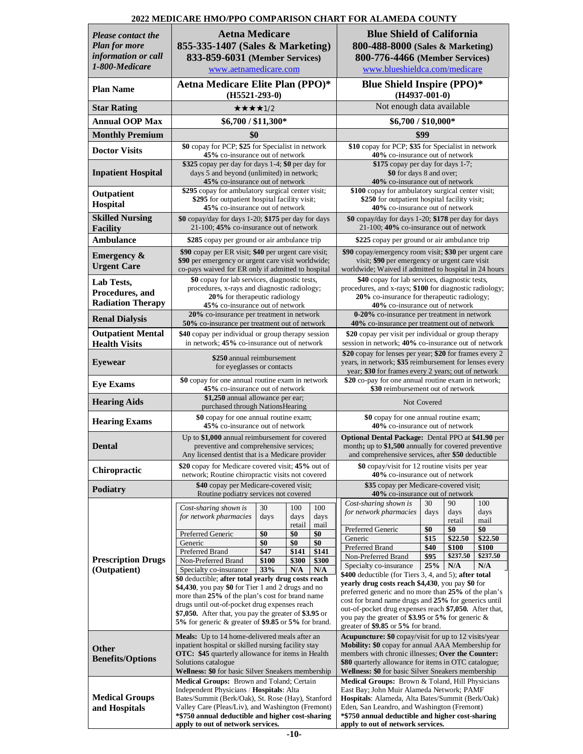| <b>Please contact the</b><br><b>Plan for more</b><br>information or call<br>1-800-Medicare | <b>Aetna Medicare</b><br>855-335-1407 (Sales & Marketing)<br>833-859-6031 (Member Services)<br>www.aetnamedicare.com                                                                                                                          |                   |                                                                                                                                                                                             |                                                                                          | <b>Blue Shield of California</b><br>800-488-8000 (Sales & Marketing)<br>800-776-4466 (Member Services)<br>www.blueshieldca.com/medicare                                                                                                                                                     |                   |                             |                            |  |
|--------------------------------------------------------------------------------------------|-----------------------------------------------------------------------------------------------------------------------------------------------------------------------------------------------------------------------------------------------|-------------------|---------------------------------------------------------------------------------------------------------------------------------------------------------------------------------------------|------------------------------------------------------------------------------------------|---------------------------------------------------------------------------------------------------------------------------------------------------------------------------------------------------------------------------------------------------------------------------------------------|-------------------|-----------------------------|----------------------------|--|
| <b>Plan Name</b>                                                                           | Aetna Medicare Elite Plan (PPO)*<br>$(H5521-293-0)$                                                                                                                                                                                           |                   |                                                                                                                                                                                             |                                                                                          | <b>Blue Shield Inspire (PPO)*</b><br>$(H4937-001-0)$                                                                                                                                                                                                                                        |                   |                             |                            |  |
| <b>Star Rating</b>                                                                         | ★★★★1/2                                                                                                                                                                                                                                       |                   |                                                                                                                                                                                             |                                                                                          | Not enough data available                                                                                                                                                                                                                                                                   |                   |                             |                            |  |
| <b>Annual OOP Max</b>                                                                      | \$6,700 / \$11,300*                                                                                                                                                                                                                           |                   |                                                                                                                                                                                             |                                                                                          | \$6,700 / \$10,000*                                                                                                                                                                                                                                                                         |                   |                             |                            |  |
| <b>Monthly Premium</b>                                                                     | \$0                                                                                                                                                                                                                                           |                   |                                                                                                                                                                                             |                                                                                          |                                                                                                                                                                                                                                                                                             | \$99              |                             |                            |  |
| <b>Doctor Visits</b>                                                                       | \$0 copay for PCP; \$25 for Specialist in network<br>45% co-insurance out of network                                                                                                                                                          |                   |                                                                                                                                                                                             |                                                                                          | \$10 copay for PCP; \$35 for Specialist in network<br>40% co-insurance out of network                                                                                                                                                                                                       |                   |                             |                            |  |
| <b>Inpatient Hospital</b>                                                                  | \$325 copay per day for days 1-4; \$0 per day for<br>days 5 and beyond (unlimited) in network;<br>45% co-insurance out of network                                                                                                             |                   |                                                                                                                                                                                             |                                                                                          | \$175 copay per day for days 1-7;<br>\$0 for days 8 and over;<br>40% co-insurance out of network                                                                                                                                                                                            |                   |                             |                            |  |
| Outpatient<br>Hospital                                                                     | \$295 copay for ambulatory surgical center visit;<br>\$295 for outpatient hospital facility visit;<br>45% co-insurance out of network                                                                                                         |                   |                                                                                                                                                                                             |                                                                                          | \$100 copay for ambulatory surgical center visit;<br>\$250 for outpatient hospital facility visit;<br>40% co-insurance out of network                                                                                                                                                       |                   |                             |                            |  |
| <b>Skilled Nursing</b><br><b>Facility</b>                                                  | \$0 copay/day for days 1-20; \$175 per day for days<br>21-100; 45% co-insurance out of network                                                                                                                                                |                   |                                                                                                                                                                                             |                                                                                          | \$0 copay/day for days 1-20; \$178 per day for days<br>21-100; 40% co-insurance out of network                                                                                                                                                                                              |                   |                             |                            |  |
| <b>Ambulance</b>                                                                           | \$285 copay per ground or air ambulance trip                                                                                                                                                                                                  |                   |                                                                                                                                                                                             |                                                                                          | \$225 copay per ground or air ambulance trip                                                                                                                                                                                                                                                |                   |                             |                            |  |
| <b>Emergency &amp;</b><br><b>Urgent Care</b>                                               | \$90 copay per ER visit; \$40 per urgent care visit;<br>\$90 per emergency or urgent care visit worldwide;<br>co-pays waived for ER only if admitted to hospital                                                                              |                   |                                                                                                                                                                                             |                                                                                          | \$90 copay/emergency room visit; \$30 per urgent care<br>visit; \$90 per emergency or urgent care visit<br>worldwide; Waived if admitted to hospital in 24 hours                                                                                                                            |                   |                             |                            |  |
| Lab Tests,<br>Procedures, and<br><b>Radiation Therapy</b>                                  | \$0 copay for lab services, diagnostic tests,<br>procedures, x-rays and diagnostic radiology;<br>20% for therapeutic radiology<br>45% co-insurance out of network                                                                             |                   | \$40 copay for lab services, diagnostic tests,<br>procedures, and x-rays; \$100 for diagnostic radiology;<br>20% co-insurance for therapeutic radiology;<br>40% co-insurance out of network |                                                                                          |                                                                                                                                                                                                                                                                                             |                   |                             |                            |  |
| <b>Renal Dialysis</b>                                                                      | 20% co-insurance per treatment in network                                                                                                                                                                                                     |                   |                                                                                                                                                                                             |                                                                                          | 0-20% co-insurance per treatment in network                                                                                                                                                                                                                                                 |                   |                             |                            |  |
| <b>Outpatient Mental</b><br><b>Health Visits</b>                                           | 50% co-insurance per treatment out of network<br>\$40 copay per individual or group therapy session<br>in network; 45% co-insurance out of network                                                                                            |                   |                                                                                                                                                                                             |                                                                                          | 40% co-insurance per treatment out of network<br>\$20 copay per visit per individual or group therapy<br>session in network; 40% co-insurance out of network                                                                                                                                |                   |                             |                            |  |
| <b>Eyewear</b>                                                                             | \$250 annual reimbursement<br>for eyeglasses or contacts                                                                                                                                                                                      |                   |                                                                                                                                                                                             |                                                                                          | \$20 copay for lenses per year; \$20 for frames every 2<br>years, in network; \$35 reimbursement for lenses every<br>year; \$30 for frames every 2 years; out of network                                                                                                                    |                   |                             |                            |  |
| <b>Eye Exams</b>                                                                           | \$0 copay for one annual routine exam in network<br>45% co-insurance out of network                                                                                                                                                           |                   |                                                                                                                                                                                             | \$20 co-pay for one annual routine exam in network;<br>\$30 reimbursement out of network |                                                                                                                                                                                                                                                                                             |                   |                             |                            |  |
| <b>Hearing Aids</b>                                                                        | \$1,250 annual allowance per ear;<br>purchased through NationsHearing                                                                                                                                                                         |                   |                                                                                                                                                                                             |                                                                                          |                                                                                                                                                                                                                                                                                             | Not Covered       |                             |                            |  |
| <b>Hearing Exams</b>                                                                       | \$0 copay for one annual routine exam:<br>45% co-insurance out of network                                                                                                                                                                     |                   |                                                                                                                                                                                             |                                                                                          | \$0 copay for one annual routine exam;<br>40% co-insurance out of network                                                                                                                                                                                                                   |                   |                             |                            |  |
| <b>Dental</b>                                                                              | Up to \$1,000 annual reimbursement for covered<br>preventive and comprehensive services;<br>Any licensed dentist that is a Medicare provider                                                                                                  |                   |                                                                                                                                                                                             |                                                                                          | <b>Optional Dental Package:</b> Dental PPO at \$41.90 per<br>month; up to \$1,500 annually for covered preventive<br>and comprehensive services, after \$50 deductible                                                                                                                      |                   |                             |                            |  |
| Chiropractic                                                                               | \$20 copay for Medicare covered visit; 45% out of<br>network; Routine chiropractic visits not covered                                                                                                                                         |                   |                                                                                                                                                                                             |                                                                                          | \$0 copay/visit for 12 routine visits per year<br>40% co-insurance out of network                                                                                                                                                                                                           |                   |                             |                            |  |
| <b>Podiatry</b>                                                                            | \$40 copay per Medicare-covered visit;<br>Routine podiatry services not covered                                                                                                                                                               |                   |                                                                                                                                                                                             |                                                                                          | \$35 copay per Medicare-covered visit;<br>40% co-insurance out of network                                                                                                                                                                                                                   |                   |                             |                            |  |
|                                                                                            | Cost-sharing shown is<br>for network pharmacies<br>Preferred Generic                                                                                                                                                                          | 30<br>days<br>\$0 | 100<br>days<br>retail<br>\$0                                                                                                                                                                | 100<br>days<br>mail<br>\$0                                                               | Cost-sharing shown is<br>for network pharmacies<br>Preferred Generic                                                                                                                                                                                                                        | 30<br>days<br>\$0 | 90<br>days<br>retail<br>\$0 | 100<br>days<br>mail<br>\$0 |  |
|                                                                                            | Generic                                                                                                                                                                                                                                       | \$0               | \$0                                                                                                                                                                                         | \$0                                                                                      | Generic<br>Preferred Brand                                                                                                                                                                                                                                                                  | \$15<br>\$40      | \$22.50<br>\$100            | \$22.50<br>\$100           |  |
| <b>Prescription Drugs</b>                                                                  | Preferred Brand                                                                                                                                                                                                                               | \$47              | \$141                                                                                                                                                                                       | \$141                                                                                    | Non-Preferred Brand                                                                                                                                                                                                                                                                         | \$95              | \$237.50                    | \$237.50                   |  |
| (Outpatient)                                                                               | Non-Preferred Brand<br>Specialty co-insurance                                                                                                                                                                                                 | \$100<br>33%      | \$300<br>N/A                                                                                                                                                                                | \$300<br>N/A                                                                             | Specialty co-insurance                                                                                                                                                                                                                                                                      | 25%               | N/A                         | N/A                        |  |
|                                                                                            | \$0 deductible; after total yearly drug costs reach                                                                                                                                                                                           |                   |                                                                                                                                                                                             |                                                                                          | \$400 deductible (for Tiers 3, 4, and 5); after total<br>yearly drug costs reach \$4,430, you pay \$0 for                                                                                                                                                                                   |                   |                             |                            |  |
|                                                                                            | \$4,430, you pay \$0 for Tier 1 and 2 drugs and no<br>more than 25% of the plan's cost for brand name                                                                                                                                         |                   |                                                                                                                                                                                             |                                                                                          | preferred generic and no more than 25% of the plan's                                                                                                                                                                                                                                        |                   |                             |                            |  |
|                                                                                            | drugs until out-of-pocket drug expenses reach                                                                                                                                                                                                 |                   |                                                                                                                                                                                             |                                                                                          | cost for brand name drugs and 25% for generics until                                                                                                                                                                                                                                        |                   |                             |                            |  |
|                                                                                            | $$7,050$ . After that, you pay the greater of \$3.95 or<br>5% for generic $\&$ greater of \$9.85 or 5% for brand.                                                                                                                             |                   |                                                                                                                                                                                             |                                                                                          | out-of-pocket drug expenses reach \$7,050. After that,<br>you pay the greater of \$3.95 or 5% for generic $\&$<br>greater of \$9.85 or $5\%$ for brand.                                                                                                                                     |                   |                             |                            |  |
| Other<br><b>Benefits/Options</b>                                                           | <b>Meals:</b> Up to 14 home-delivered meals after an<br>inpatient hospital or skilled nursing facility stay<br>OTC: \$45 quarterly allowance for items in Health<br>Solutions catalogue<br>Wellness: \$0 for basic Silver Sneakers membership |                   |                                                                                                                                                                                             |                                                                                          | <b>Acupuncture: \$0</b> copay/visit for up to 12 visits/year<br><b>Mobility: \$0</b> copay for annual AAA Membership for<br>members with chronic illnesses; Over the Counter:<br>\$80 quarterly allowance for items in OTC catalogue;<br>Wellness: \$0 for basic Silver Sneakers membership |                   |                             |                            |  |
|                                                                                            | Medical Groups: Brown and Toland; Certain                                                                                                                                                                                                     |                   |                                                                                                                                                                                             |                                                                                          | Medical Groups: Brown & Toland, Hill Physicians                                                                                                                                                                                                                                             |                   |                             |                            |  |
| <b>Medical Groups</b><br>and Hospitals                                                     | Independent Physicians / Hospitals: Alta<br>Bates/Summit (Berk/Oak), St. Rose (Hay), Stanford<br>Valley Care (Pleas/Liv), and Washington (Fremont)<br>*\$750 annual deductible and higher cost-sharing<br>apply to out of network services.   |                   |                                                                                                                                                                                             |                                                                                          | East Bay; John Muir Alameda Network; PAMF<br>Hospitals: Alameda, Alta Bates/Summit (Berk/Oak)<br>Eden, San Leandro, and Washington (Fremont)<br>*\$750 annual deductible and higher cost-sharing<br>apply to out of network services.                                                       |                   |                             |                            |  |